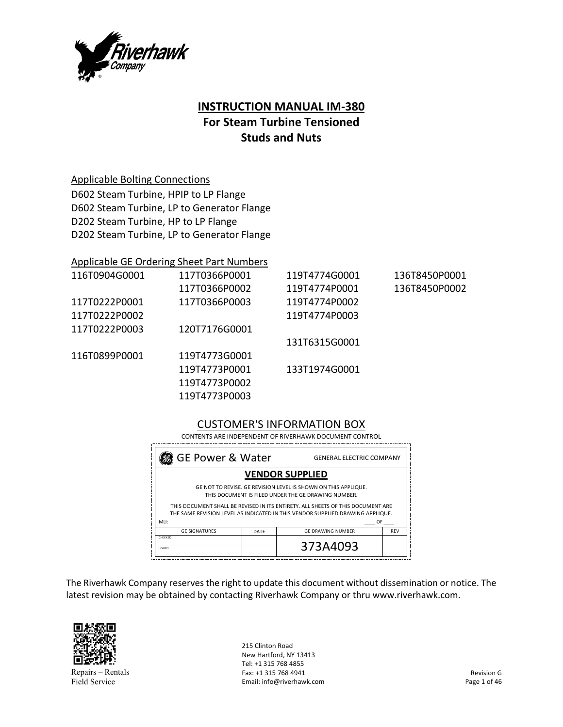

# **INSTRUCTION MANUAL IM‐380 For Steam Turbine Tensioned Studs and Nuts**

### Applicable Bolting Connections

D602 Steam Turbine, HPIP to LP Flange D602 Steam Turbine, LP to Generator Flange D202 Steam Turbine, HP to LP Flange D202 Steam Turbine, LP to Generator Flange

### Applicable GE Ordering Sheet Part Numbers

| 116T0904G0001 | 117T0366P0001 | 119T4774G0001 | 136T8450P0001 |
|---------------|---------------|---------------|---------------|
|               | 117T0366P0002 | 119T4774P0001 | 136T8450P0002 |
| 117T0222P0001 | 117T0366P0003 | 119T4774P0002 |               |
| 117T0222P0002 |               | 119T4774P0003 |               |
| 117T0222P0003 | 120T7176G0001 |               |               |
|               |               | 131T6315G0001 |               |
| 116T0899P0001 | 119T4773G0001 |               |               |
|               | 119T4773P0001 | 133T1974G0001 |               |
|               | 119T4773P0002 |               |               |
|               | 119T4773P0003 |               |               |

### CUSTOMER'S INFORMATION BOX

 CONTENTS ARE INDEPENDENT OF RIVERHAWK DOCUMENT CONTROL

| <b>GE Power &amp; Water</b><br><b>GENERAL ELECTRIC COMPANY</b>                                                                                                    |      |                          |            |  |
|-------------------------------------------------------------------------------------------------------------------------------------------------------------------|------|--------------------------|------------|--|
| <b>VENDOR SUPPLIED</b>                                                                                                                                            |      |                          |            |  |
| GE NOT TO REVISE. GE REVISION LEVEL IS SHOWN ON THIS APPLIQUE.<br>THIS DOCUMENT IS FILED UNDER THE GE DRAWING NUMBER.                                             |      |                          |            |  |
| THIS DOCUMENT SHALL BE REVISED IN ITS ENTIRETY. ALL SHEETS OF THIS DOCUMENT ARE<br>THE SAME REVISION LEVEL AS INDICATED IN THIS VENDOR SUPPLIED DRAWING APPLIQUE. |      |                          |            |  |
| MLI:<br>OF                                                                                                                                                        |      |                          |            |  |
| <b>GE SIGNATURES</b>                                                                                                                                              | DATE | <b>GE DRAWING NUMBER</b> | <b>REV</b> |  |
| CHECKED:<br>ISSUED:                                                                                                                                               |      | 373A4093                 |            |  |

The Riverhawk Company reserves the right to update this document without dissemination or notice. The latest revision may be obtained by contacting Riverhawk Company or thru www.riverhawk.com.



Repairs – Rentals Field Service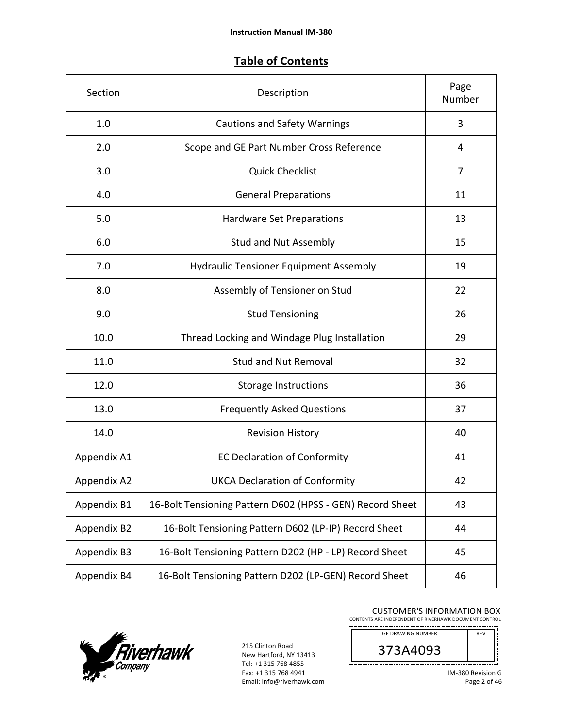### **Table of Contents**

| Section     | Description                                               | Page<br>Number |
|-------------|-----------------------------------------------------------|----------------|
| 1.0         | <b>Cautions and Safety Warnings</b>                       | 3              |
| 2.0         | Scope and GE Part Number Cross Reference                  | 4              |
| 3.0         | <b>Quick Checklist</b>                                    | 7              |
| 4.0         | <b>General Preparations</b>                               | 11             |
| 5.0         | Hardware Set Preparations                                 | 13             |
| 6.0         | <b>Stud and Nut Assembly</b>                              | 15             |
| 7.0         | <b>Hydraulic Tensioner Equipment Assembly</b>             | 19             |
| 8.0         | Assembly of Tensioner on Stud                             | 22             |
| 9.0         | <b>Stud Tensioning</b>                                    | 26             |
| 10.0        | Thread Locking and Windage Plug Installation              | 29             |
| 11.0        | <b>Stud and Nut Removal</b>                               | 32             |
| 12.0        | <b>Storage Instructions</b>                               | 36             |
| 13.0        | <b>Frequently Asked Questions</b>                         | 37             |
| 14.0        | <b>Revision History</b>                                   | 40             |
| Appendix A1 | <b>EC Declaration of Conformity</b>                       | 41             |
| Appendix A2 | <b>UKCA Declaration of Conformity</b>                     | 42             |
| Appendix B1 | 16-Bolt Tensioning Pattern D602 (HPSS - GEN) Record Sheet | 43             |
| Appendix B2 | 16-Bolt Tensioning Pattern D602 (LP-IP) Record Sheet      | 44             |
| Appendix B3 | 16-Bolt Tensioning Pattern D202 (HP - LP) Record Sheet    | 45             |
| Appendix B4 | 16-Bolt Tensioning Pattern D202 (LP-GEN) Record Sheet     | 46             |



215 Clinton Road New Hartford, NY 13413 Tel: +1 315 768 4855 Fax: +1 315 768 4941 Email: info@riverhawk.com

#### CUSTOMER'S INFORMATION BOX CONTENTS ARE INDEPENDENT OF RIVERHAWK DOCUMENT CONTROL



IM‐380 Revision G Page 2 of 46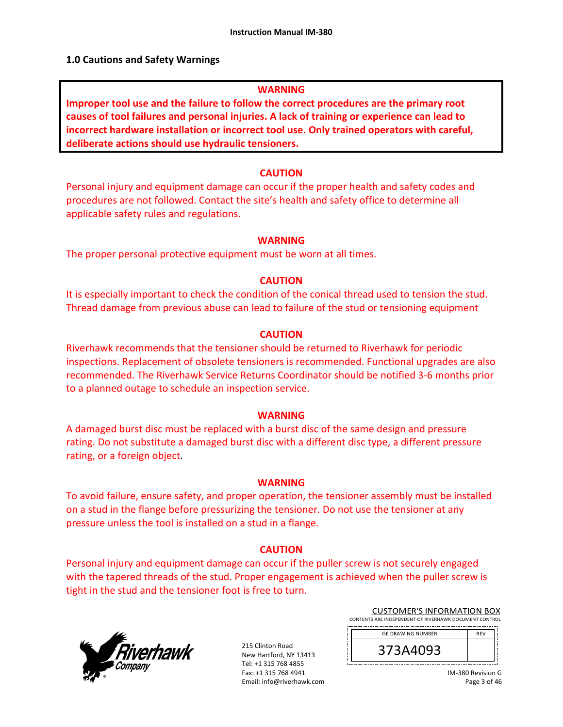### **1.0 Cautions and Safety Warnings**

### **WARNING**

**Improper tool use and the failure to follow the correct procedures are the primary root causes of tool failures and personal injuries. A lack of training or experience can lead to incorrect hardware installation or incorrect tool use. Only trained operators with careful, deliberate actions should use hydraulic tensioners.** 

### **CAUTION**

Personal injury and equipment damage can occur if the proper health and safety codes and procedures are not followed. Contact the site's health and safety office to determine all applicable safety rules and regulations.

### **WARNING**

The proper personal protective equipment must be worn at all times.

### **CAUTION**

It is especially important to check the condition of the conical thread used to tension the stud. Thread damage from previous abuse can lead to failure of the stud or tensioning equipment

### **CAUTION**

Riverhawk recommends that the tensioner should be returned to Riverhawk for periodic inspections. Replacement of obsolete tensioners is recommended. Functional upgrades are also recommended. The Riverhawk Service Returns Coordinator should be notified 3‐6 months prior to a planned outage to schedule an inspection service.

### **WARNING**

A damaged burst disc must be replaced with a burst disc of the same design and pressure rating. Do not substitute a damaged burst disc with a different disc type, a different pressure rating, or a foreign object.

### **WARNING**

To avoid failure, ensure safety, and proper operation, the tensioner assembly must be installed on a stud in the flange before pressurizing the tensioner. Do not use the tensioner at any pressure unless the tool is installed on a stud in a flange.

### **CAUTION**

Personal injury and equipment damage can occur if the puller screw is not securely engaged with the tapered threads of the stud. Proper engagement is achieved when the puller screw is tight in the stud and the tensioner foot is free to turn.



215 Clinton Road New Hartford, NY 13413 Tel: +1 315 768 4855 Fax: +1 315 768 4941 Email: info@riverhawk.com

| <b>CUSTOMER'S INFORMATION BOX</b>                      |
|--------------------------------------------------------|
| CONTENTS ARE INDEPENDENT OF RIVERHAWK DOCUMENT CONTROL |
|                                                        |

| <b>GE DRAWING NUMBER</b> | <b>RFV</b> |
|--------------------------|------------|
|                          |            |
| 373A4093                 |            |
|                          |            |

IM‐380 Revision G Page 3 of 46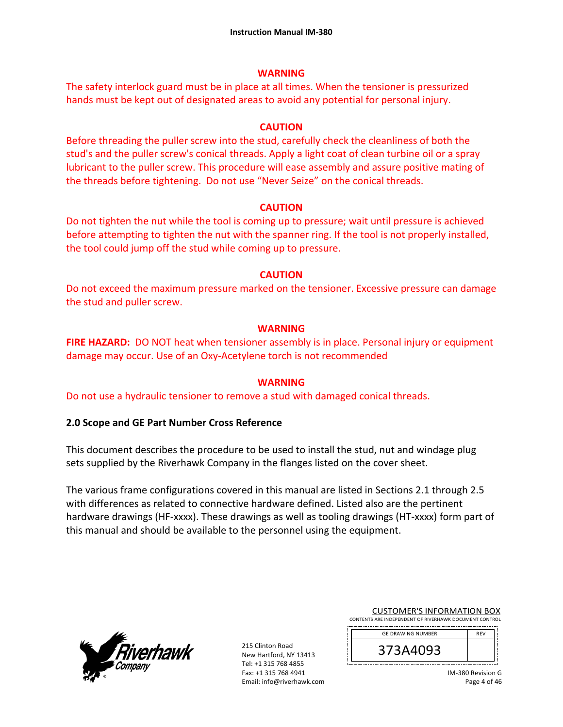### **WARNING**

The safety interlock guard must be in place at all times. When the tensioner is pressurized hands must be kept out of designated areas to avoid any potential for personal injury.

### **CAUTION**

Before threading the puller screw into the stud, carefully check the cleanliness of both the stud's and the puller screw's conical threads. Apply a light coat of clean turbine oil or a spray lubricant to the puller screw. This procedure will ease assembly and assure positive mating of the threads before tightening. Do not use "Never Seize" on the conical threads.

### **CAUTION**

Do not tighten the nut while the tool is coming up to pressure; wait until pressure is achieved before attempting to tighten the nut with the spanner ring. If the tool is not properly installed, the tool could jump off the stud while coming up to pressure.

### **CAUTION**

Do not exceed the maximum pressure marked on the tensioner. Excessive pressure can damage the stud and puller screw.

### **WARNING**

**FIRE HAZARD:** DO NOT heat when tensioner assembly is in place. Personal injury or equipment damage may occur. Use of an Oxy‐Acetylene torch is not recommended

### **WARNING**

Do not use a hydraulic tensioner to remove a stud with damaged conical threads.

### **2.0 Scope and GE Part Number Cross Reference**

This document describes the procedure to be used to install the stud, nut and windage plug sets supplied by the Riverhawk Company in the flanges listed on the cover sheet.

The various frame configurations covered in this manual are listed in Sections 2.1 through 2.5 with differences as related to connective hardware defined. Listed also are the pertinent hardware drawings (HF-xxxx). These drawings as well as tooling drawings (HT-xxxx) form part of this manual and should be available to the personnel using the equipment.



| <b>CUSTOMER'S INFORMATION BOX</b>                      |
|--------------------------------------------------------|
| CONTENTS ARE INDEPENDENT OF RIVERHAWK DOCUMENT CONTROL |
|                                                        |

| <b>GE DRAWING NUMBER</b> | <b>RFV</b> |
|--------------------------|------------|
| <b>SA4UYS</b><br>Э       |            |
|                          |            |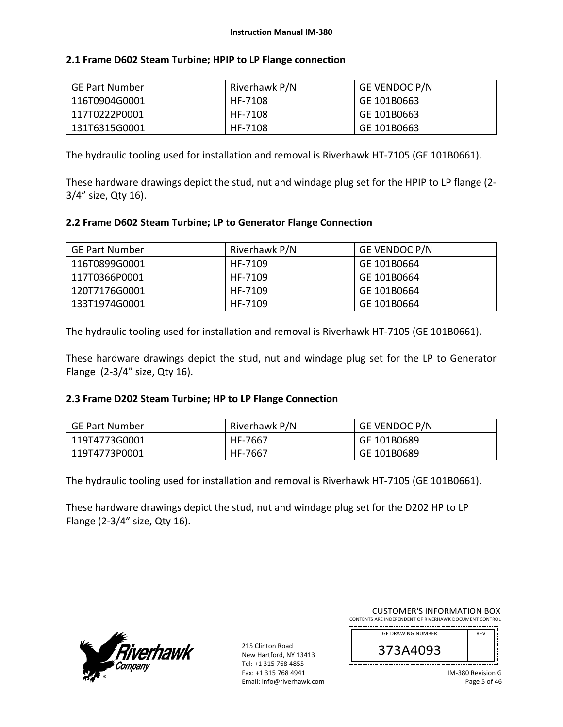|  |  |  |  |  |  |  | 2.1 Frame D602 Steam Turbine; HPIP to LP Flange connection |
|--|--|--|--|--|--|--|------------------------------------------------------------|
|--|--|--|--|--|--|--|------------------------------------------------------------|

| GE Part Number | Riverhawk P/N | <b>GE VENDOC P/N</b> |
|----------------|---------------|----------------------|
| 116T0904G0001  | HF-7108       | GE 101B0663          |
| 117T0222P0001  | HF-7108       | GE 101B0663          |
| 131T6315G0001  | HF-7108       | GE 101B0663          |

The hydraulic tooling used for installation and removal is Riverhawk HT‐7105 (GE 101B0661).

These hardware drawings depict the stud, nut and windage plug set for the HPIP to LP flange (2‐ 3/4" size, Qty 16).

### **2.2 Frame D602 Steam Turbine; LP to Generator Flange Connection**

| <b>GE Part Number</b> | Riverhawk P/N | <b>GE VENDOC P/N</b> |
|-----------------------|---------------|----------------------|
| 116T0899G0001         | HF-7109       | GE 101B0664          |
| l 117T0366P0001       | HF-7109       | GE 101B0664          |
| l 120T7176G0001       | HF-7109       | GE 101B0664          |
| l 133T1974G0001       | HF-7109       | GE 101B0664          |

The hydraulic tooling used for installation and removal is Riverhawk HT‐7105 (GE 101B0661).

These hardware drawings depict the stud, nut and windage plug set for the LP to Generator Flange (2‐3/4" size, Qty 16).

### **2.3 Frame D202 Steam Turbine; HP to LP Flange Connection**

| GE Part Number | Riverhawk P/N | <b>GE VENDOC P/N</b> |
|----------------|---------------|----------------------|
| 119T4773G0001  | HF-7667       | GE 101B0689          |
| 119T4773P0001  | HF-7667       | GE 101B0689          |

The hydraulic tooling used for installation and removal is Riverhawk HT‐7105 (GE 101B0661).

These hardware drawings depict the stud, nut and windage plug set for the D202 HP to LP Flange (2‐3/4" size, Qty 16).



| <b>CUSTOMER'S INFORMATION BOX</b>                      |
|--------------------------------------------------------|
| CONTENTS ARE INDEPENDENT OF RIVERHAWK DOCUMENT CONTROL |
|                                                        |

| <b>GE DRAWING NUMBER</b> | <b>RFV</b> |  |
|--------------------------|------------|--|
| 373A4093<br>Э            |            |  |
|                          |            |  |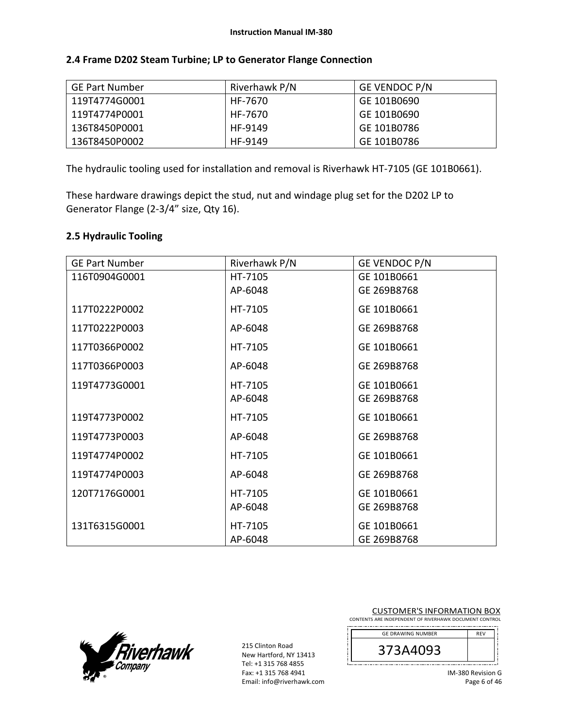| <b>GE Part Number</b> | Riverhawk P/N | <b>GE VENDOC P/N</b> |
|-----------------------|---------------|----------------------|
| 119T4774G0001         | HF-7670       | GE 101B0690          |
| 119T4774P0001         | HF-7670       | GE 101B0690          |
| 136T8450P0001         | HF-9149       | GE 101B0786          |
| 136T8450P0002         | HF-9149       | GE 101B0786          |

### **2.4 Frame D202 Steam Turbine; LP to Generator Flange Connection**

The hydraulic tooling used for installation and removal is Riverhawk HT‐7105 (GE 101B0661).

These hardware drawings depict the stud, nut and windage plug set for the D202 LP to Generator Flange (2‐3/4" size, Qty 16).

### **2.5 Hydraulic Tooling**

| <b>GE Part Number</b> | Riverhawk P/N | GE VENDOC P/N |
|-----------------------|---------------|---------------|
| 116T0904G0001         | HT-7105       | GE 101B0661   |
|                       | AP-6048       | GE 269B8768   |
| 117T0222P0002         | HT-7105       | GE 101B0661   |
| 117T0222P0003         | AP-6048       | GE 269B8768   |
| 117T0366P0002         | HT-7105       | GE 101B0661   |
| 117T0366P0003         | AP-6048       | GE 269B8768   |
| 119T4773G0001         | HT-7105       | GE 101B0661   |
|                       | AP-6048       | GE 269B8768   |
| 119T4773P0002         | HT-7105       | GE 101B0661   |
| 119T4773P0003         | AP-6048       | GE 269B8768   |
| 119T4774P0002         | HT-7105       | GE 101B0661   |
| 119T4774P0003         | AP-6048       | GE 269B8768   |
| 120T7176G0001         | HT-7105       | GE 101B0661   |
|                       | AP-6048       | GE 269B8768   |
| 131T6315G0001         | HT-7105       | GE 101B0661   |
|                       | AP-6048       | GE 269B8768   |



|                                                        | <b>CUSTOMER'S INFORMATION BOX</b> |  |  |  |  |  |
|--------------------------------------------------------|-----------------------------------|--|--|--|--|--|
| CONTENTS ARE INDEPENDENT OF RIVERHAWK DOCUMENT CONTROL |                                   |  |  |  |  |  |

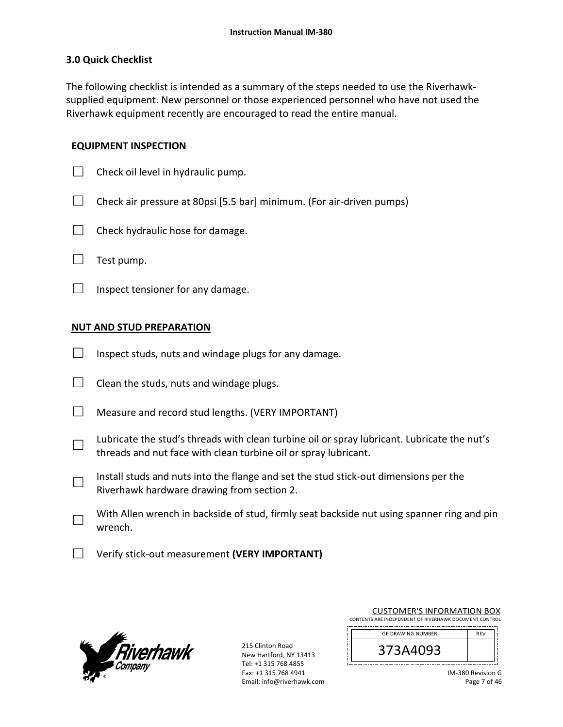### **3.0 Quick Checklist**

The following checklist is intended as a summary of the steps needed to use the Riverhawk‐ supplied equipment. New personnel or those experienced personnel who have not used the Riverhawk equipment recently are encouraged to read the entire manual.

### **EQUIPMENT INSPECTION**

- $\Box$  Check oil level in hydraulic pump.
- $\Box$  Check air pressure at 80psi [5.5 bar] minimum. (For air-driven pumps)
- $\Box$  Check hydraulic hose for damage.
- $\Box$  Test pump.
- $\Box$  Inspect tensioner for any damage.

### **NUT AND STUD PREPARATION**

- $\Box$  Inspect studs, nuts and windage plugs for any damage.
- $\Box$  Clean the studs, nuts and windage plugs.
- $\Box$  Measure and record stud lengths. (VERY IMPORTANT)
- □ Lubricate the stud's threads with clean turbine oil or spray lubricant. Lubricate the nut's threads and nut face with clean turbine oil or spray lubricant.
- □ Install studs and nuts into the flange and set the stud stick‐out dimensions per the Riverhawk hardware drawing from section 2.
- □ With Allen wrench in backside of stud, firmly seat backside nut using spanner ring and pin wrench.
- □ Verify stick‐out measurement **(VERY IMPORTANT)**



| <b>CUSTOMER'S INFORMATION BOX</b>                      |            |  |
|--------------------------------------------------------|------------|--|
| CONTENTS ARE INDEPENDENT OF RIVERHAWK DOCUMENT CONTROL |            |  |
| <b>GE DRAWING NUMBER</b>                               | <b>REV</b> |  |
| 373A4093                                               |            |  |

| IM-380 Revision G |
|-------------------|
| Page 7 of 46      |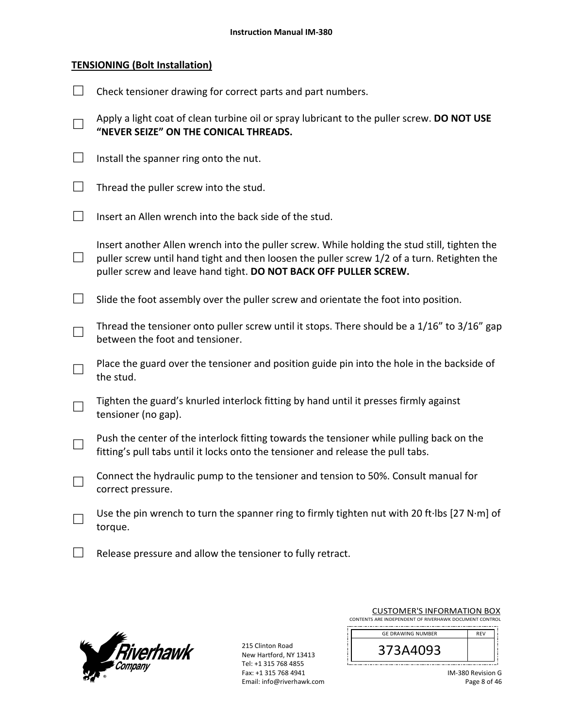### **TENSIONING (Bolt Installation)**

|                             | Check tensioner drawing for correct parts and part numbers.                                                                                                                                                                                                     |
|-----------------------------|-----------------------------------------------------------------------------------------------------------------------------------------------------------------------------------------------------------------------------------------------------------------|
| $\Box$                      | Apply a light coat of clean turbine oil or spray lubricant to the puller screw. DO NOT USE<br>"NEVER SEIZE" ON THE CONICAL THREADS.                                                                                                                             |
| $\Box$                      | Install the spanner ring onto the nut.                                                                                                                                                                                                                          |
| $\mathcal{L}^{\mathcal{A}}$ | Thread the puller screw into the stud.                                                                                                                                                                                                                          |
| $\mathcal{L}^{\mathcal{A}}$ | Insert an Allen wrench into the back side of the stud.                                                                                                                                                                                                          |
| $\mathcal{L}_{\mathcal{A}}$ | Insert another Allen wrench into the puller screw. While holding the stud still, tighten the<br>puller screw until hand tight and then loosen the puller screw 1/2 of a turn. Retighten the<br>puller screw and leave hand tight. DO NOT BACK OFF PULLER SCREW. |
| $\overline{\phantom{a}}$    | Slide the foot assembly over the puller screw and orientate the foot into position.                                                                                                                                                                             |
|                             | Thread the tensioner onto puller screw until it stops. There should be a 1/16" to 3/16" gap                                                                                                                                                                     |
|                             | between the foot and tensioner.                                                                                                                                                                                                                                 |
|                             | Place the guard over the tensioner and position guide pin into the hole in the backside of<br>the stud.                                                                                                                                                         |
|                             | Tighten the guard's knurled interlock fitting by hand until it presses firmly against<br>tensioner (no gap).                                                                                                                                                    |
|                             | Push the center of the interlock fitting towards the tensioner while pulling back on the<br>fitting's pull tabs until it locks onto the tensioner and release the pull tabs.                                                                                    |
| $\Box$                      | Connect the hydraulic pump to the tensioner and tension to 50%. Consult manual for<br>correct pressure.                                                                                                                                                         |
|                             | Use the pin wrench to turn the spanner ring to firmly tighten nut with 20 ft·lbs [27 N·m] of<br>torque.                                                                                                                                                         |

 $\Box$  Release pressure and allow the tensioner to fully retract.



| <b>CUSTOMER'S INFORMATION BOX</b>                      |            |  |
|--------------------------------------------------------|------------|--|
| CONTENTS ARE INDEPENDENT OF RIVERHAWK DOCUMENT CONTROL |            |  |
| <b>GE DRAWING NUMBER</b>                               | <b>RFV</b> |  |
| 373A4093                                               |            |  |

| IM-380 Revision G |
|-------------------|
| Page 8 of 46      |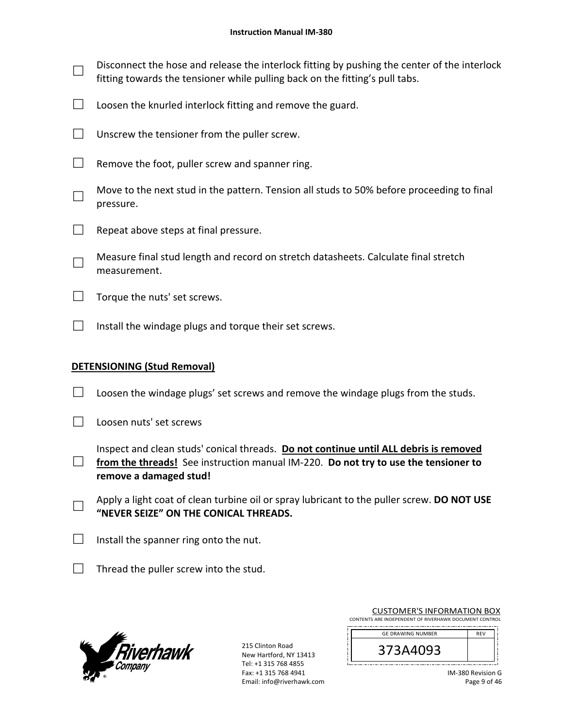- □ Disconnect the hose and release the interlock fitting by pushing the center of the interlock fitting towards the tensioner while pulling back on the fitting's pull tabs.
- $\Box$  Loosen the knurled interlock fitting and remove the guard.
- $\Box$  Unscrew the tensioner from the puller screw.
- $\Box$  Remove the foot, puller screw and spanner ring.
- □ Move to the next stud in the pattern. Tension all studs to 50% before proceeding to final pressure.
- $\Box$  Repeat above steps at final pressure.
- □ Measure final stud length and record on stretch datasheets. Calculate final stretch measurement.
- $\Box$  Torque the nuts' set screws.
- $\Box$  Install the windage plugs and torque their set screws.

### **DETENSIONING (Stud Removal)**

- $\Box$  Loosen the windage plugs' set screws and remove the windage plugs from the studs.
- □ Loosen nuts' set screws
- □ from the threads! See instruction manual IM-220. **Do not try to use the tensioner to** Inspect and clean studs' conical threads. **Do not continue until ALL debris is removed remove a damaged stud!**
- □ Apply a light coat of clean turbine oil or spray lubricant to the puller screw. **DO NOT USE "NEVER SEIZE" ON THE CONICAL THREADS.**
- $\Box$  Install the spanner ring onto the nut.
- $\Box$  Thread the puller screw into the stud.



215 Clinton Road New Hartford, NY 13413 Tel: +1 315 768 4855 Fax: +1 315 768 4941 Email: info@riverhawk.com

|                                                        |  |  |  |  | <b>CUSTOMER'S INFORMATION BOX</b> |  |
|--------------------------------------------------------|--|--|--|--|-----------------------------------|--|
| CONTENTS ARE INDEPENDENT OF RIVERHAWK DOCUMENT CONTROL |  |  |  |  |                                   |  |
|                                                        |  |  |  |  |                                   |  |

| <b>GE DRAWING NUMBER</b> |  |
|--------------------------|--|
| Ξ<br>כבר                 |  |
|                          |  |
|                          |  |

IM‐380 Revision G Page 9 of 46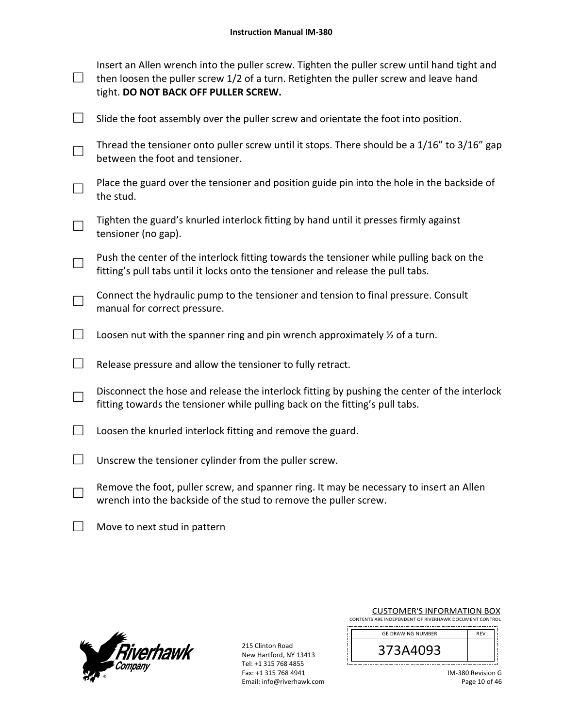|               | Insert an Allen wrench into the puller screw. Tighten the puller screw until hand tight and<br>then loosen the puller screw 1/2 of a turn. Retighten the puller screw and leave hand<br>tight. DO NOT BACK OFF PULLER SCREW. |
|---------------|------------------------------------------------------------------------------------------------------------------------------------------------------------------------------------------------------------------------------|
|               | Slide the foot assembly over the puller screw and orientate the foot into position.                                                                                                                                          |
|               | Thread the tensioner onto puller screw until it stops. There should be a 1/16" to 3/16" gap<br>between the foot and tensioner.                                                                                               |
|               | Place the guard over the tensioner and position guide pin into the hole in the backside of<br>the stud.                                                                                                                      |
|               | Tighten the guard's knurled interlock fitting by hand until it presses firmly against<br>tensioner (no gap).                                                                                                                 |
|               | Push the center of the interlock fitting towards the tensioner while pulling back on the<br>fitting's pull tabs until it locks onto the tensioner and release the pull tabs.                                                 |
|               | Connect the hydraulic pump to the tensioner and tension to final pressure. Consult<br>manual for correct pressure.                                                                                                           |
| $\mathcal{L}$ | Loosen nut with the spanner ring and pin wrench approximately $\frac{1}{2}$ of a turn.                                                                                                                                       |
|               | Release pressure and allow the tensioner to fully retract.                                                                                                                                                                   |
|               | Disconnect the hose and release the interlock fitting by pushing the center of the interlock<br>fitting towards the tensioner while pulling back on the fitting's pull tabs.                                                 |
|               | Loosen the knurled interlock fitting and remove the guard.                                                                                                                                                                   |
|               | Unscrew the tensioner cylinder from the puller screw.                                                                                                                                                                        |
|               | Remove the foot, puller screw, and spanner ring. It may be necessary to insert an Allen<br>wrench into the backside of the stud to remove the puller screw.                                                                  |

□ Move to next stud in pattern



| <b>CUSTOMER'S INFORMATION BOX</b>                      |
|--------------------------------------------------------|
| CONTENTS ARE INDEPENDENT OF RIVERHAWK DOCUMENT CONTROL |
|                                                        |

| <b>GE DRAWING NUMBER</b> | <b>RFV</b> |
|--------------------------|------------|
| <b>/3A4093</b><br>⊃      |            |
|                          |            |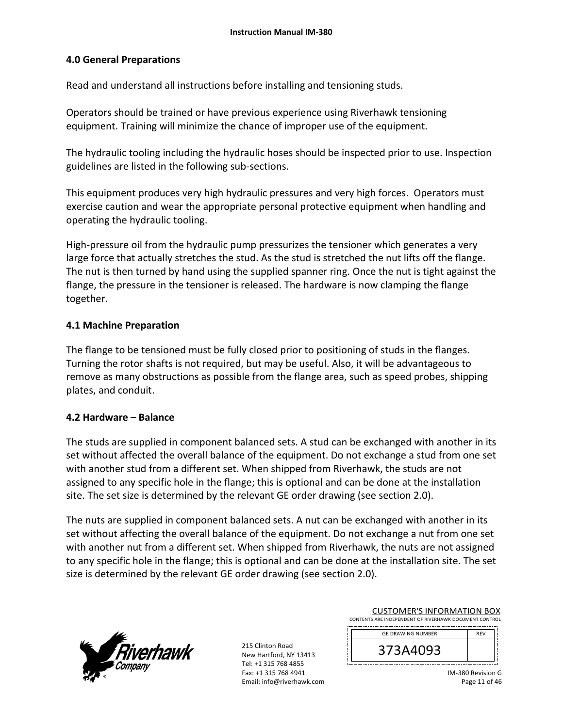### **4.0 General Preparations**

Read and understand all instructions before installing and tensioning studs.

Operators should be trained or have previous experience using Riverhawk tensioning equipment. Training will minimize the chance of improper use of the equipment.

The hydraulic tooling including the hydraulic hoses should be inspected prior to use. Inspection guidelines are listed in the following sub‐sections.

This equipment produces very high hydraulic pressures and very high forces. Operators must exercise caution and wear the appropriate personal protective equipment when handling and operating the hydraulic tooling.

High-pressure oil from the hydraulic pump pressurizes the tensioner which generates a very large force that actually stretches the stud. As the stud is stretched the nut lifts off the flange. The nut is then turned by hand using the supplied spanner ring. Once the nut is tight against the flange, the pressure in the tensioner is released. The hardware is now clamping the flange together.

### **4.1 Machine Preparation**

The flange to be tensioned must be fully closed prior to positioning of studs in the flanges. Turning the rotor shafts is not required, but may be useful. Also, it will be advantageous to remove as many obstructions as possible from the flange area, such as speed probes, shipping plates, and conduit.

### **4.2 Hardware – Balance**

The studs are supplied in component balanced sets. A stud can be exchanged with another in its set without affected the overall balance of the equipment. Do not exchange a stud from one set with another stud from a different set. When shipped from Riverhawk, the studs are not assigned to any specific hole in the flange; this is optional and can be done at the installation site. The set size is determined by the relevant GE order drawing (see section 2.0).

The nuts are supplied in component balanced sets. A nut can be exchanged with another in its set without affecting the overall balance of the equipment. Do not exchange a nut from one set with another nut from a different set. When shipped from Riverhawk, the nuts are not assigned to any specific hole in the flange; this is optional and can be done at the installation site. The set size is determined by the relevant GE order drawing (see section 2.0).



| <b>CUSTOMER'S INFORMATION BOX</b>                      |
|--------------------------------------------------------|
| CONTENTS ARE INDEPENDENT OF RIVERHAWK DOCUMENT CONTROL |
|                                                        |

| <b>GE DRAWING NUMBER</b> | <b>RFV</b> |
|--------------------------|------------|
| 373A4093                 |            |
|                          |            |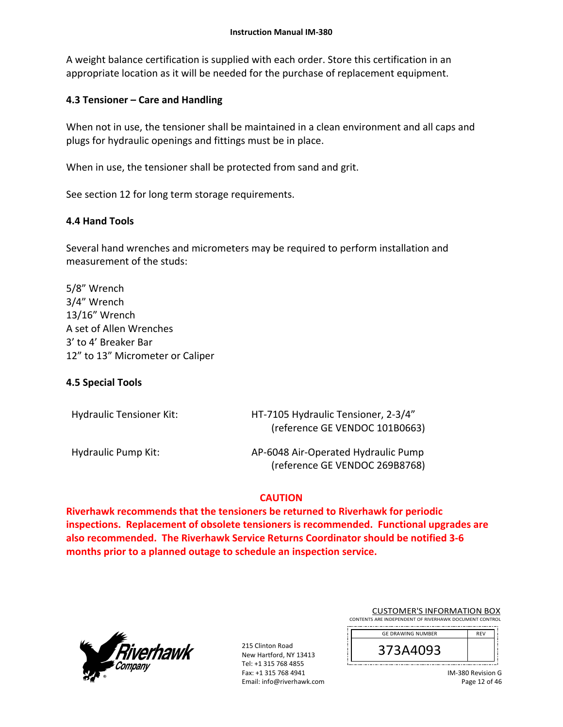A weight balance certification is supplied with each order. Store this certification in an appropriate location as it will be needed for the purchase of replacement equipment.

### **4.3 Tensioner – Care and Handling**

When not in use, the tensioner shall be maintained in a clean environment and all caps and plugs for hydraulic openings and fittings must be in place.

When in use, the tensioner shall be protected from sand and grit.

See section 12 for long term storage requirements.

### **4.4 Hand Tools**

Several hand wrenches and micrometers may be required to perform installation and measurement of the studs:

5/8" Wrench 3/4" Wrench 13/16" Wrench A set of Allen Wrenches 3' to 4' Breaker Bar 12" to 13" Micrometer or Caliper

### **4.5 Special Tools**

| <b>Hydraulic Tensioner Kit:</b> | HT-7105 Hydraulic Tensioner, 2-3/4"<br>(reference GE VENDOC 101B0663) |
|---------------------------------|-----------------------------------------------------------------------|
| Hydraulic Pump Kit:             | AP-6048 Air-Operated Hydraulic Pump<br>(reference GE VENDOC 269B8768) |

### **CAUTION**

**Riverhawk recommends that the tensioners be returned to Riverhawk for periodic inspections. Replacement of obsolete tensioners is recommended. Functional upgrades are also recommended. The Riverhawk Service Returns Coordinator should be notified 3‐6 months prior to a planned outage to schedule an inspection service.** 



| <b>CUSTOMER'S INFORMATION BOX</b>                      |
|--------------------------------------------------------|
| CONTENTS ARE INDEPENDENT OF RIVERHAWK DOCUMENT CONTROL |
|                                                        |

| <b>GE DRAWING NUMBER</b> | <b>RFV</b> |
|--------------------------|------------|
| 373A4093                 |            |
|                          |            |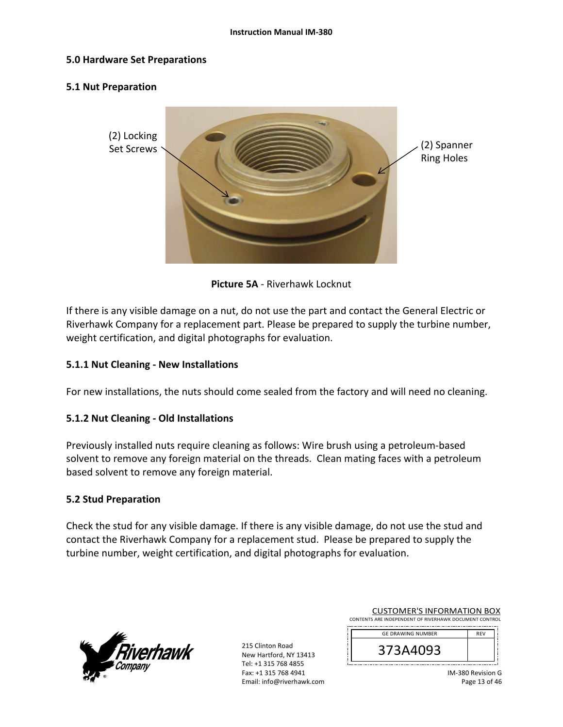### **5.0 Hardware Set Preparations**

### **5.1 Nut Preparation**



**Picture 5A** ‐ Riverhawk Locknut

If there is any visible damage on a nut, do not use the part and contact the General Electric or Riverhawk Company for a replacement part. Please be prepared to supply the turbine number, weight certification, and digital photographs for evaluation.

### **5.1.1 Nut Cleaning ‐ New Installations**

For new installations, the nuts should come sealed from the factory and will need no cleaning.

### **5.1.2 Nut Cleaning ‐ Old Installations**

Previously installed nuts require cleaning as follows: Wire brush using a petroleum‐based solvent to remove any foreign material on the threads. Clean mating faces with a petroleum based solvent to remove any foreign material.

### **5.2 Stud Preparation**

Check the stud for any visible damage. If there is any visible damage, do not use the stud and contact the Riverhawk Company for a replacement stud. Please be prepared to supply the turbine number, weight certification, and digital photographs for evaluation.



| <b>CUSTOMER'S INFORMATION BOX</b>                      |
|--------------------------------------------------------|
| CONTENTS ARE INDEPENDENT OF RIVERHAWK DOCUMENT CONTROL |
|                                                        |

| <b>GE DRAWING NUMBER</b> | <b>RFV</b> |
|--------------------------|------------|
| /3A4093<br>⊃             |            |
|                          |            |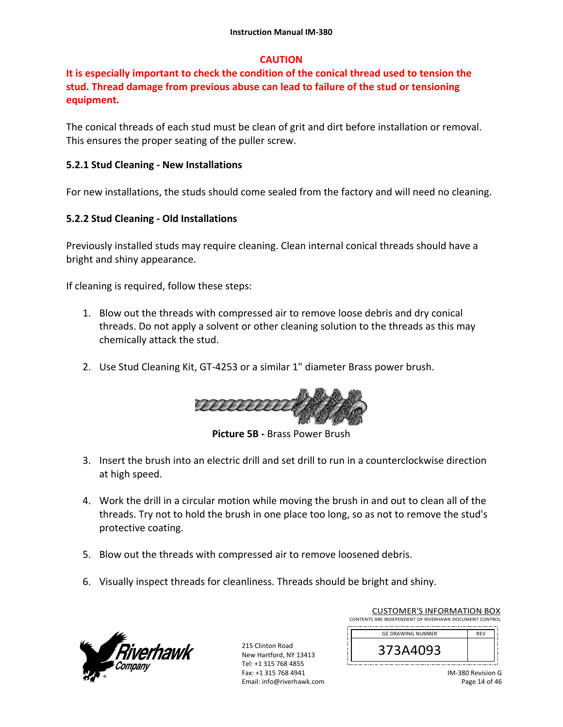### **CAUTION**

## **It is especially important to check the condition of the conical thread used to tension the stud. Thread damage from previous abuse can lead to failure of the stud or tensioning equipment.**

The conical threads of each stud must be clean of grit and dirt before installation or removal. This ensures the proper seating of the puller screw.

### **5.2.1 Stud Cleaning ‐ New Installations**

For new installations, the studs should come sealed from the factory and will need no cleaning.

### **5.2.2 Stud Cleaning ‐ Old Installations**

Previously installed studs may require cleaning. Clean internal conical threads should have a bright and shiny appearance.

If cleaning is required, follow these steps:

- 1. Blow out the threads with compressed air to remove loose debris and dry conical threads. Do not apply a solvent or other cleaning solution to the threads as this may chemically attack the stud.
- 2. Use Stud Cleaning Kit, GT‐4253 or a similar 1" diameter Brass power brush.



**Picture 5B ‐** Brass Power Brush

- 3. Insert the brush into an electric drill and set drill to run in a counterclockwise direction at high speed.
- 4. Work the drill in a circular motion while moving the brush in and out to clean all of the threads. Try not to hold the brush in one place too long, so as not to remove the stud's protective coating.
- 5. Blow out the threads with compressed air to remove loosened debris.
- 6. Visually inspect threads for cleanliness. Threads should be bright and shiny.



215 Clinton Road New Hartford, NY 13413 Tel: +1 315 768 4855 Fax: +1 315 768 4941 Email: info@riverhawk.com

| <b>GE DRAWING NUMBER</b><br><b>RFV</b> |
|----------------------------------------|
|                                        |
| 373A4093                               |

CUSTOMER'S INFORMATION BOX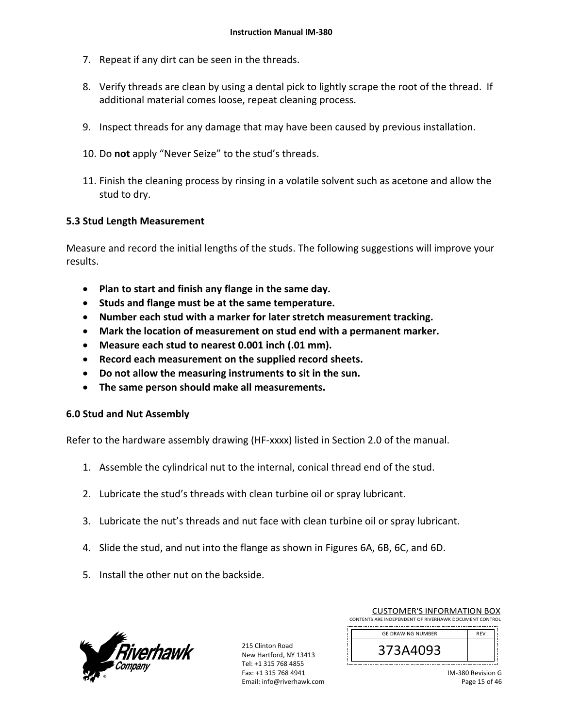- 7. Repeat if any dirt can be seen in the threads.
- 8. Verify threads are clean by using a dental pick to lightly scrape the root of the thread. If additional material comes loose, repeat cleaning process.
- 9. Inspect threads for any damage that may have been caused by previous installation.
- 10. Do **not** apply "Never Seize" to the stud's threads.
- 11. Finish the cleaning process by rinsing in a volatile solvent such as acetone and allow the stud to dry.

### **5.3 Stud Length Measurement**

Measure and record the initial lengths of the studs. The following suggestions will improve your results.

- **Plan to start and finish any flange in the same day.**
- **Studs and flange must be at the same temperature.**
- **Number each stud with a marker for later stretch measurement tracking.**
- **Mark the location of measurement on stud end with a permanent marker.**
- **Measure each stud to nearest 0.001 inch (.01 mm).**
- **Record each measurement on the supplied record sheets.**
- **Do not allow the measuring instruments to sit in the sun.**
- **The same person should make all measurements.**

### **6.0 Stud and Nut Assembly**

Refer to the hardware assembly drawing (HF‐xxxx) listed in Section 2.0 of the manual.

- 1. Assemble the cylindrical nut to the internal, conical thread end of the stud.
- 2. Lubricate the stud's threads with clean turbine oil or spray lubricant.
- 3. Lubricate the nut's threads and nut face with clean turbine oil or spray lubricant.
- 4. Slide the stud, and nut into the flange as shown in Figures 6A, 6B, 6C, and 6D.
- 5. Install the other nut on the backside.



| <b>CUSTOMER'S INFORMATION BOX</b>                      |     |  |
|--------------------------------------------------------|-----|--|
| CONTENTS ARE INDEPENDENT OF RIVERHAWK DOCUMENT CONTROL |     |  |
| <b>GE DRAWING NUMBER</b>                               | REV |  |
|                                                        |     |  |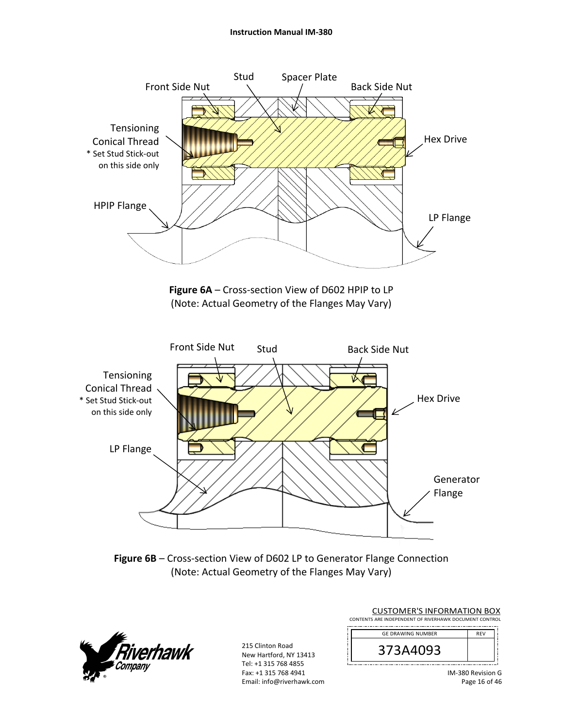#### **Instruction Manual IM‐380**



Figure 6B – Cross-section View of D602 LP to Generator Flange Connection (Note: Actual Geometry of the Flanges May Vary)



| <b>CUSTOMER'S INFORMATION BOX</b>                      |            |  |
|--------------------------------------------------------|------------|--|
| CONTENTS ARE INDEPENDENT OF RIVERHAWK DOCUMENT CONTROL |            |  |
| <b>GE DRAWING NUMBER</b>                               | <b>REV</b> |  |
| 373A4093                                               |            |  |

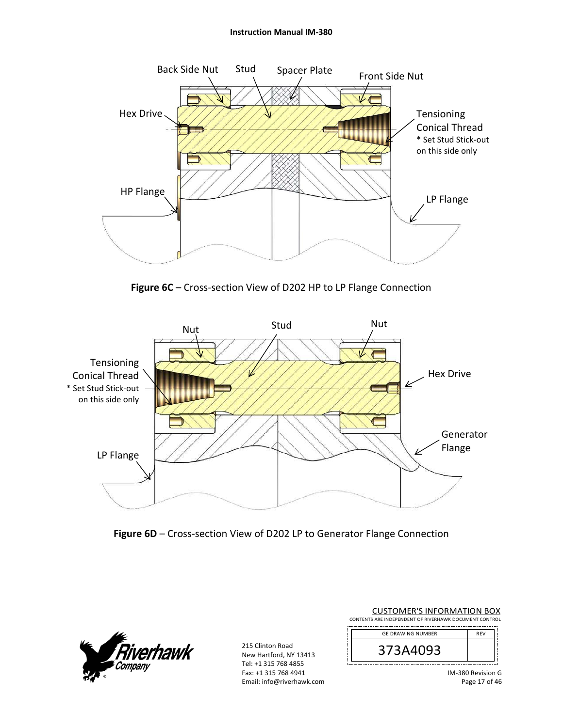#### **Instruction Manual IM‐380**



Figure 6C – Cross-section View of D202 HP to LP Flange Connection







215 Clinton Road New Hartford, NY 13413 Tel: +1 315 768 4855 Fax: +1 315 768 4941 Email: info@riverhawk.com

| CUSTUIVIEN 3 INFUNIVIATIUN BUA                         |            |
|--------------------------------------------------------|------------|
| CONTENTS ARE INDEPENDENT OF RIVERHAWK DOCUMENT CONTROL |            |
|                                                        |            |
| <b>GE DRAWING NUMBER</b>                               | <b>RFV</b> |
|                                                        |            |

CUSTOMER'S INFORMATION BOY

| ∕ ≺<br>,93<br>3A4L<br>⊃ |  |
|-------------------------|--|
|                         |  |
|                         |  |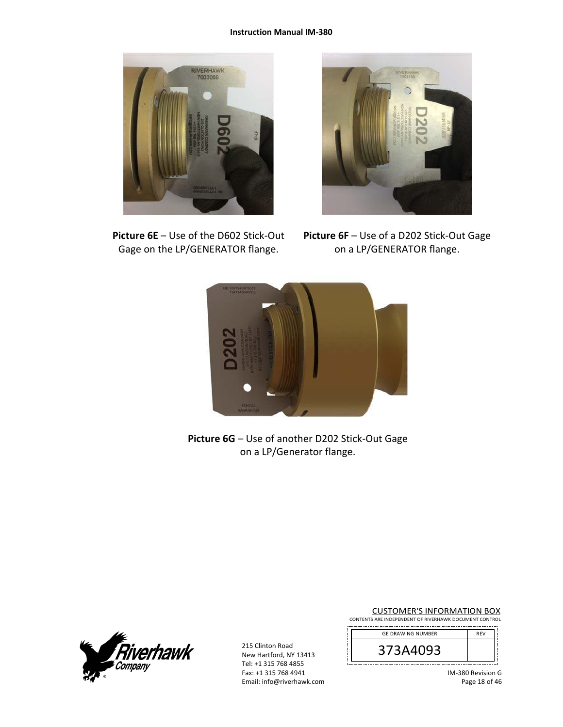

**Picture 6E** – Use of the D602 Stick‐Out Gage on the LP/GENERATOR flange.



**Picture 6F** – Use of a D202 Stick‐Out Gage on a LP/GENERATOR flange.



**Picture 6G** – Use of another D202 Stick‐Out Gage on a LP/Generator flange.



215 Clinton Road New Hartford, NY 13413 Tel: +1 315 768 4855 Fax: +1 315 768 4941 Email: info@riverhawk.com

CUSTOMER'S INFORMATION BOX CONTENTS ARE INDEPENDENT OF RIVERHAWK DOCUMENT CONTROL

| <b>GE DRAWING NUMBER</b> | REV |
|--------------------------|-----|
| 373A4093                 |     |
|                          |     |

IM‐380 Revision G Page 18 of 46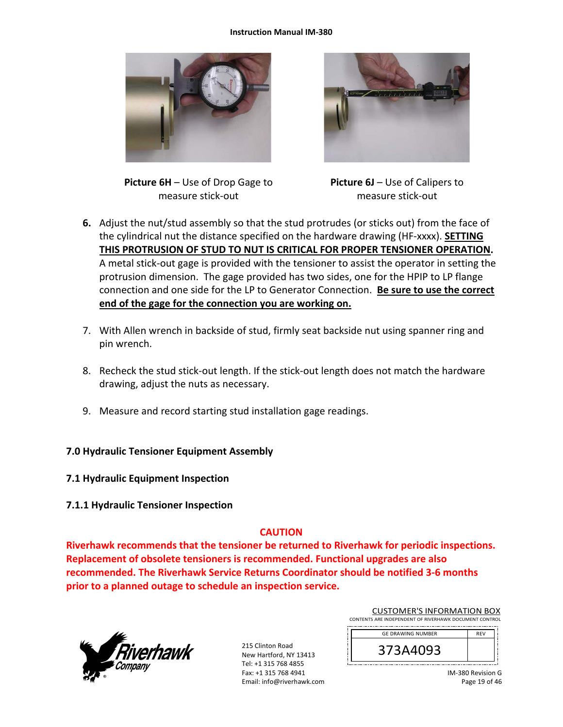#### **Instruction Manual IM‐380**





**Picture 6H** – Use of Drop Gage to measure stick‐out

**Picture 6J** – Use of Calipers to measure stick‐out

- **6.** Adjust the nut/stud assembly so that the stud protrudes (or sticks out) from the face of the cylindrical nut the distance specified on the hardware drawing (HF‐xxxx). **SETTING THIS PROTRUSION OF STUD TO NUT IS CRITICAL FOR PROPER TENSIONER OPERATION.** A metal stick‐out gage is provided with the tensioner to assist the operator in setting the protrusion dimension. The gage provided has two sides, one for the HPIP to LP flange connection and one side for the LP to Generator Connection. **Be sure to use the correct end of the gage for the connection you are working on.**
- 7. With Allen wrench in backside of stud, firmly seat backside nut using spanner ring and pin wrench.
- 8. Recheck the stud stick‐out length. If the stick‐out length does not match the hardware drawing, adjust the nuts as necessary.
- 9. Measure and record starting stud installation gage readings.

### **7.0 Hydraulic Tensioner Equipment Assembly**

- **7.1 Hydraulic Equipment Inspection**
- **7.1.1 Hydraulic Tensioner Inspection**

### **CAUTION**

**Riverhawk recommends that the tensioner be returned to Riverhawk for periodic inspections. Replacement of obsolete tensioners is recommended. Functional upgrades are also recommended. The Riverhawk Service Returns Coordinator should be notified 3‐6 months prior to a planned outage to schedule an inspection service.** 



215 Clinton Road New Hartford, NY 13413 Tel: +1 315 768 4855 Fax: +1 315 768 4941 Email: info@riverhawk.com

| CONTENTS ARE INDEPENDENT OF RIVERHAWK DOCUMENT CONTROL |            |  |
|--------------------------------------------------------|------------|--|
| <b>GE DRAWING NUMBER</b>                               | <b>RFV</b> |  |
|                                                        |            |  |

CUSTOMER'S INFORMATION BOX

| IM-380 Revision G |
|-------------------|
| Page 19 of 46     |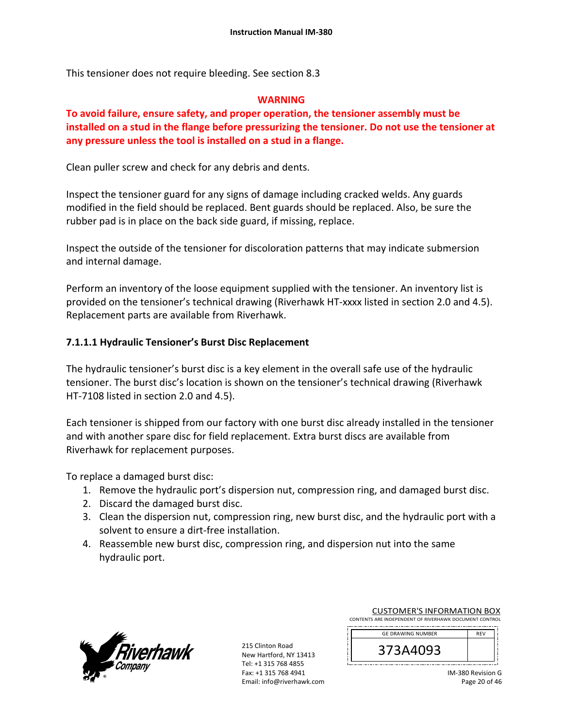This tensioner does not require bleeding. See section 8.3

### **WARNING**

## **To avoid failure, ensure safety, and proper operation, the tensioner assembly must be installed on a stud in the flange before pressurizing the tensioner. Do not use the tensioner at any pressure unless the tool is installed on a stud in a flange.**

Clean puller screw and check for any debris and dents.

Inspect the tensioner guard for any signs of damage including cracked welds. Any guards modified in the field should be replaced. Bent guards should be replaced. Also, be sure the rubber pad is in place on the back side guard, if missing, replace.

Inspect the outside of the tensioner for discoloration patterns that may indicate submersion and internal damage.

Perform an inventory of the loose equipment supplied with the tensioner. An inventory list is provided on the tensioner's technical drawing (Riverhawk HT‐xxxx listed in section 2.0 and 4.5). Replacement parts are available from Riverhawk.

### **7.1.1.1 Hydraulic Tensioner's Burst Disc Replacement**

The hydraulic tensioner's burst disc is a key element in the overall safe use of the hydraulic tensioner. The burst disc's location is shown on the tensioner's technical drawing (Riverhawk HT‐7108 listed in section 2.0 and 4.5).

Each tensioner is shipped from our factory with one burst disc already installed in the tensioner and with another spare disc for field replacement. Extra burst discs are available from Riverhawk for replacement purposes.

To replace a damaged burst disc:

- 1. Remove the hydraulic port's dispersion nut, compression ring, and damaged burst disc.
- 2. Discard the damaged burst disc.
- 3. Clean the dispersion nut, compression ring, new burst disc, and the hydraulic port with a solvent to ensure a dirt‐free installation.
- 4. Reassemble new burst disc, compression ring, and dispersion nut into the same hydraulic port.



215 Clinton Road New Hartford, NY 13413 Tel: +1 315 768 4855 Fax: +1 315 768 4941 Email: info@riverhawk.com

| CONTENTS ARE INDEPENDENT OF RIVERHAWK DOCUMENT CONTROL |            |  |
|--------------------------------------------------------|------------|--|
| <b>GE DRAWING NUMBER</b>                               | <b>RFV</b> |  |
| 373A4093                                               |            |  |

CUSTOMER'S INFORMATION BOX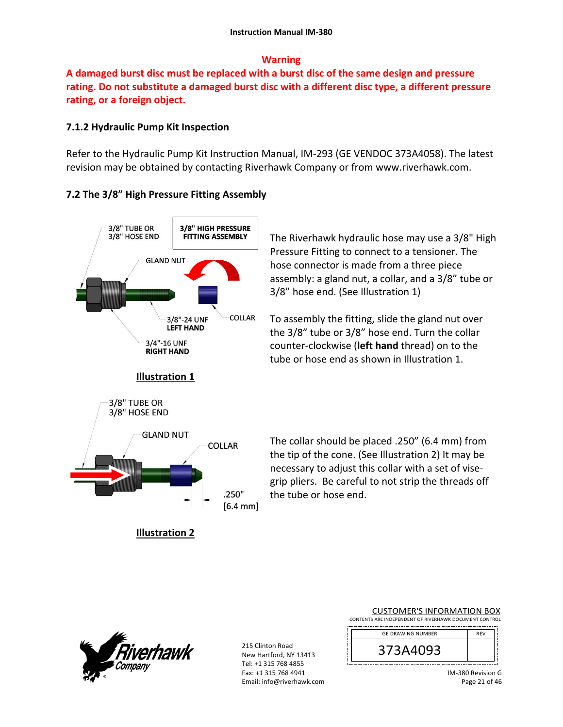### **Warning**

**A damaged burst disc must be replaced with a burst disc of the same design and pressure rating. Do not substitute a damaged burst disc with a different disc type, a different pressure rating, or a foreign object.**

### **7.1.2 Hydraulic Pump Kit Inspection**

Refer to the Hydraulic Pump Kit Instruction Manual, IM‐293 (GE VENDOC 373A4058). The latest revision may be obtained by contacting Riverhawk Company or from www.riverhawk.com.

### **7.2 The 3/8" High Pressure Fitting Assembly**



The Riverhawk hydraulic hose may use a 3/8" High Pressure Fitting to connect to a tensioner. The hose connector is made from a three piece assembly: a gland nut, a collar, and a 3/8" tube or 3/8" hose end. (See Illustration 1)

To assembly the fitting, slide the gland nut over the 3/8" tube or 3/8" hose end. Turn the collar counter‐clockwise (**left hand** thread) on to the tube or hose end as shown in Illustration 1.

The collar should be placed .250" (6.4 mm) from the tip of the cone. (See Illustration 2) It may be necessary to adjust this collar with a set of vise‐ grip pliers. Be careful to not strip the threads off the tube or hose end.



215 Clinton Road New Hartford, NY 13413 Tel: +1 315 768 4855 Fax: +1 315 768 4941 Email: info@riverhawk.com

|                                                        | <b>CUSTOMER'S INFORMATION BOX</b> |  |  |  |  |  |
|--------------------------------------------------------|-----------------------------------|--|--|--|--|--|
| CONTENTS ARE INDEPENDENT OF RIVERHAWK DOCUMENT CONTROL |                                   |  |  |  |  |  |

| <b>GE DRAWING NUMBER</b> | <b>RFV</b> |
|--------------------------|------------|
| 373A4093                 |            |
|                          |            |

IM‐380 Revision G Page 21 of 46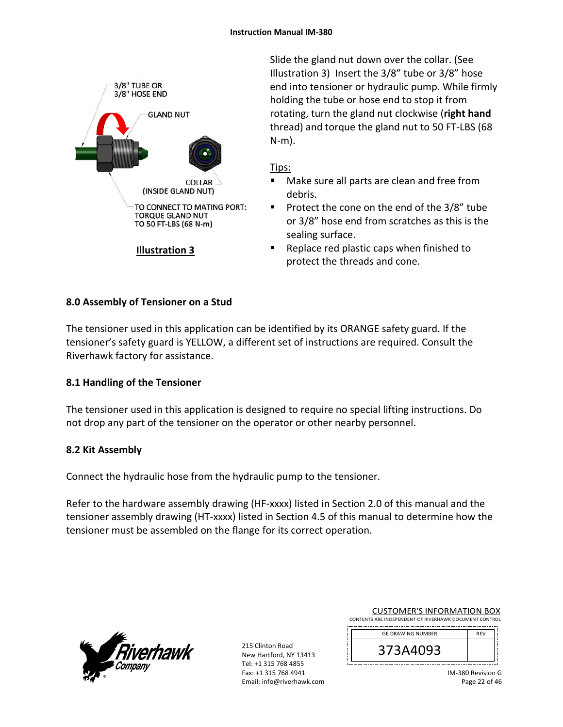

Slide the gland nut down over the collar. (See Illustration 3) Insert the 3/8" tube or 3/8" hose end into tensioner or hydraulic pump. While firmly holding the tube or hose end to stop it from rotating, turn the gland nut clockwise (**right hand** thread) and torque the gland nut to 50 FT‐LBS (68 N‐m).

### Tips:

- Make sure all parts are clean and free from debris.
- **Protect the cone on the end of the 3/8" tube** or 3/8" hose end from scratches as this is the sealing surface.
- Replace red plastic caps when finished to protect the threads and cone.

## **8.0 Assembly of Tensioner on a Stud**

The tensioner used in this application can be identified by its ORANGE safety guard. If the tensioner's safety guard is YELLOW, a different set of instructions are required. Consult the Riverhawk factory for assistance.

# **8.1 Handling of the Tensioner**

The tensioner used in this application is designed to require no special lifting instructions. Do not drop any part of the tensioner on the operator or other nearby personnel.

### **8.2 Kit Assembly**

Connect the hydraulic hose from the hydraulic pump to the tensioner.

Refer to the hardware assembly drawing (HF-xxxx) listed in Section 2.0 of this manual and the tensioner assembly drawing (HT‐xxxx) listed in Section 4.5 of this manual to determine how the tensioner must be assembled on the flange for its correct operation.



| <b>CUSTOMER'S INFORMATION BOX</b>                      |
|--------------------------------------------------------|
| CONTENTS ARE INDEPENDENT OF RIVERHAWK DOCUMENT CONTROL |
|                                                        |

| <b>GE DRAWING NUMBER</b> | <b>RFV</b> |
|--------------------------|------------|
| '3A4UY3                  |            |
|                          |            |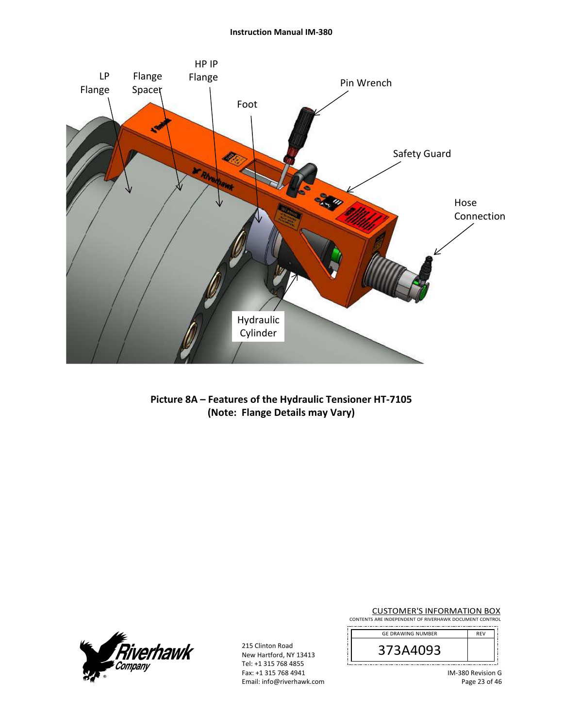

**Picture 8A – Features of the Hydraulic Tensioner HT‐7105 (Note: Flange Details may Vary)** 



215 Clinton Road New Hartford, NY 13413 Tel: +1 315 768 4855 Fax: +1 315 768 4941 Email: info@riverhawk.com

CUSTOMER'S INFORMATION BOX CONTENTS ARE INDEPENDENT OF RIVERHAWK DOCUMENT CONTROL

| <b>GE DRAWING NUMBER</b> | <b>RFV</b> |
|--------------------------|------------|
| 373A4093                 |            |
|                          |            |

IM‐380 Revision G Page 23 of 46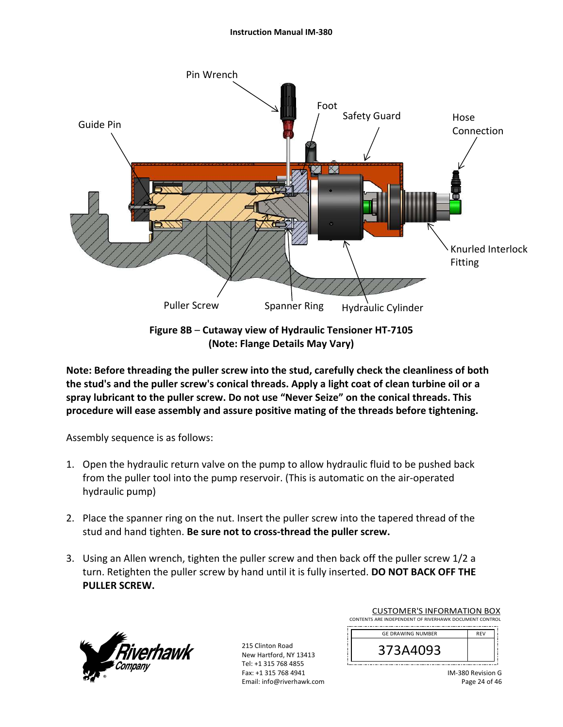#### **Instruction Manual IM‐380**



**Figure 8B** – **Cutaway view of Hydraulic Tensioner HT‐7105 (Note: Flange Details May Vary)**

**Note: Before threading the puller screw into the stud, carefully check the cleanliness of both the stud's and the puller screw's conical threads. Apply a light coat of clean turbine oil or a spray lubricant to the puller screw. Do not use "Never Seize" on the conical threads. This procedure will ease assembly and assure positive mating of the threads before tightening.** 

Assembly sequence is as follows:

- 1. Open the hydraulic return valve on the pump to allow hydraulic fluid to be pushed back from the puller tool into the pump reservoir. (This is automatic on the air‐operated hydraulic pump)
- 2. Place the spanner ring on the nut. Insert the puller screw into the tapered thread of the stud and hand tighten. **Be sure not to cross‐thread the puller screw.**
- 3. Using an Allen wrench, tighten the puller screw and then back off the puller screw 1/2 a turn. Retighten the puller screw by hand until it is fully inserted. **DO NOT BACK OFF THE PULLER SCREW.**



215 Clinton Road New Hartford, NY 13413 Tel: +1 315 768 4855 Fax: +1 315 768 4941 Email: info@riverhawk.com

| COSTONIER STINTORINIATION BOA                          |            |  |
|--------------------------------------------------------|------------|--|
| CONTENTS ARE INDEPENDENT OF RIVERHAWK DOCUMENT CONTROL |            |  |
|                                                        |            |  |
| <b>GE DRAWING NUMBER</b>                               | <b>RFV</b> |  |
|                                                        |            |  |
|                                                        |            |  |

CUSTOMER'S INFORMATION BOX

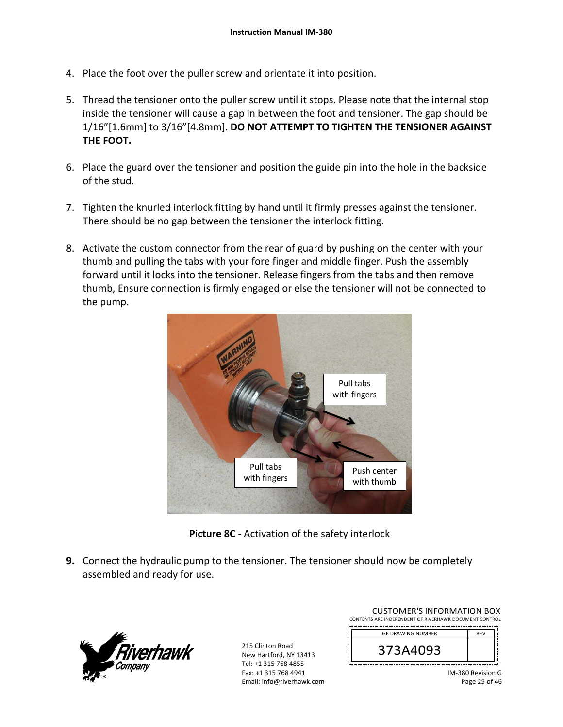- 4. Place the foot over the puller screw and orientate it into position.
- 5. Thread the tensioner onto the puller screw until it stops. Please note that the internal stop inside the tensioner will cause a gap in between the foot and tensioner. The gap should be 1/16"[1.6mm] to 3/16"[4.8mm]. **DO NOT ATTEMPT TO TIGHTEN THE TENSIONER AGAINST THE FOOT.**
- 6. Place the guard over the tensioner and position the guide pin into the hole in the backside of the stud.
- 7. Tighten the knurled interlock fitting by hand until it firmly presses against the tensioner. There should be no gap between the tensioner the interlock fitting.
- 8. Activate the custom connector from the rear of guard by pushing on the center with your thumb and pulling the tabs with your fore finger and middle finger. Push the assembly forward until it locks into the tensioner. Release fingers from the tabs and then remove thumb, Ensure connection is firmly engaged or else the tensioner will not be connected to the pump.



**Picture 8C** ‐ Activation of the safety interlock

**9.** Connect the hydraulic pump to the tensioner. The tensioner should now be completely assembled and ready for use.



| <b>CUSTOMER'S INFORMATION BOX</b>                      |            |  |  |  |
|--------------------------------------------------------|------------|--|--|--|
| CONTENTS ARE INDEPENDENT OF RIVERHAWK DOCUMENT CONTROL |            |  |  |  |
| <b>GE DRAWING NUMBER</b>                               | <b>RFV</b> |  |  |  |

| <b>UL DRAWING NUMBER</b> | <b>KEV</b> |  |
|--------------------------|------------|--|
| ບວວ<br>⊃                 |            |  |
|                          |            |  |
|                          |            |  |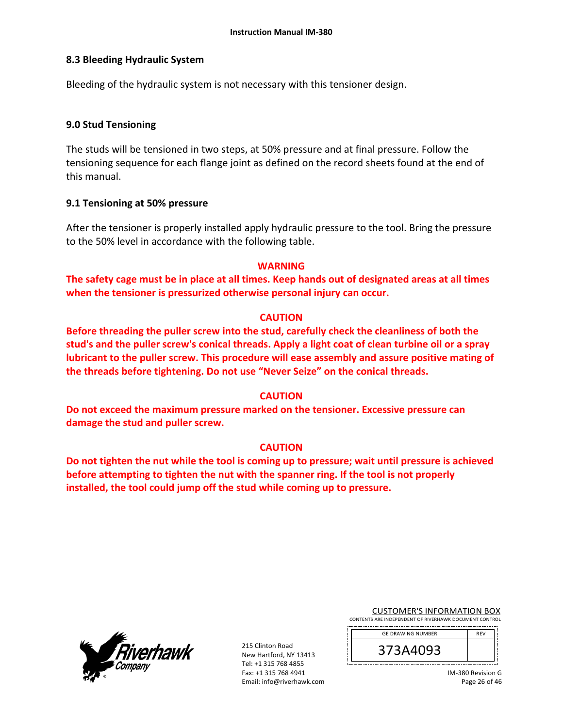### **8.3 Bleeding Hydraulic System**

Bleeding of the hydraulic system is not necessary with this tensioner design.

### **9.0 Stud Tensioning**

The studs will be tensioned in two steps, at 50% pressure and at final pressure. Follow the tensioning sequence for each flange joint as defined on the record sheets found at the end of this manual.

### **9.1 Tensioning at 50% pressure**

After the tensioner is properly installed apply hydraulic pressure to the tool. Bring the pressure to the 50% level in accordance with the following table.

### **WARNING**

**The safety cage must be in place at all times. Keep hands out of designated areas at all times when the tensioner is pressurized otherwise personal injury can occur.** 

### **CAUTION**

**Before threading the puller screw into the stud, carefully check the cleanliness of both the stud's and the puller screw's conical threads. Apply a light coat of clean turbine oil or a spray lubricant to the puller screw. This procedure will ease assembly and assure positive mating of the threads before tightening. Do not use "Never Seize" on the conical threads.** 

### **CAUTION**

**Do not exceed the maximum pressure marked on the tensioner. Excessive pressure can damage the stud and puller screw.** 

### **CAUTION**

**Do not tighten the nut while the tool is coming up to pressure; wait until pressure is achieved before attempting to tighten the nut with the spanner ring. If the tool is not properly installed, the tool could jump off the stud while coming up to pressure.** 



|                                                        | <b>CUSTOMER'S INFORMATION BOX</b> |  |  |  |  |  |
|--------------------------------------------------------|-----------------------------------|--|--|--|--|--|
| CONTENTS ARE INDEPENDENT OF RIVERHAWK DOCUMENT CONTROL |                                   |  |  |  |  |  |

| <b>GE DRAWING NUMBER</b> | REV |
|--------------------------|-----|
| 1/3A4093<br>⊃            |     |
|                          |     |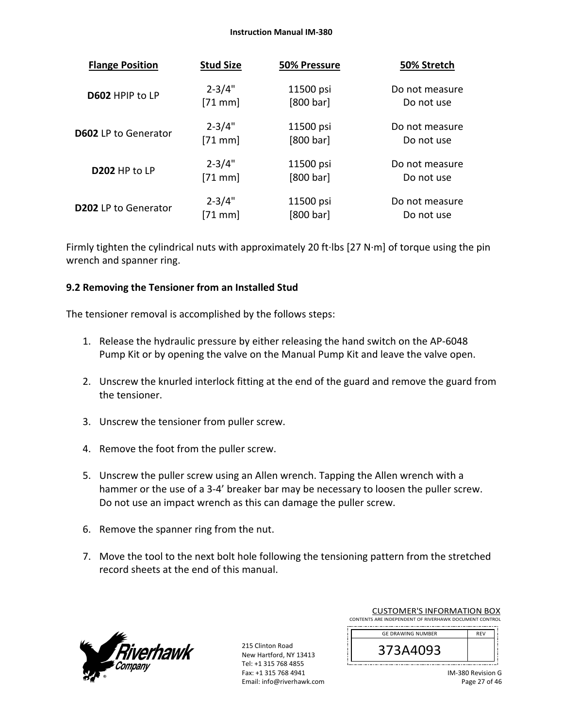#### **Instruction Manual IM‐380**

| <b>Flange Position</b>      | <b>Stud Size</b> | 50% Pressure | 50% Stretch    |
|-----------------------------|------------------|--------------|----------------|
| D602 HPIP to LP             | $2 - 3/4"$       | 11500 psi    | Do not measure |
|                             | $[71$ mm]        | [800 bar]    | Do not use     |
| <b>D602</b> LP to Generator | $2 - 3/4"$       | 11500 psi    | Do not measure |
|                             | $[71$ mm]        | [800 bar]    | Do not use     |
| D202 HP to LP               | $2 - 3/4"$       | 11500 psi    | Do not measure |
|                             | $[71$ mm]        | [800 bar]    | Do not use     |
| <b>D202</b> LP to Generator | $2 - 3/4"$       | 11500 psi    | Do not measure |
|                             | $[71$ mm         | [800 bar]    | Do not use     |

Firmly tighten the cylindrical nuts with approximately 20 ft∙lbs [27 N∙m] of torque using the pin wrench and spanner ring.

### **9.2 Removing the Tensioner from an Installed Stud**

The tensioner removal is accomplished by the follows steps:

- 1. Release the hydraulic pressure by either releasing the hand switch on the AP‐6048 Pump Kit or by opening the valve on the Manual Pump Kit and leave the valve open.
- 2. Unscrew the knurled interlock fitting at the end of the guard and remove the guard from the tensioner.
- 3. Unscrew the tensioner from puller screw.
- 4. Remove the foot from the puller screw.
- 5. Unscrew the puller screw using an Allen wrench. Tapping the Allen wrench with a hammer or the use of a 3-4' breaker bar may be necessary to loosen the puller screw. Do not use an impact wrench as this can damage the puller screw.
- 6. Remove the spanner ring from the nut.
- 7. Move the tool to the next bolt hole following the tensioning pattern from the stretched record sheets at the end of this manual.



215 Clinton Road New Hartford, NY 13413 Tel: +1 315 768 4855 Fax: +1 315 768 4941 Email: info@riverhawk.com

| COSTOIVIER STINI ONIVIATION BOA                        |            |  |
|--------------------------------------------------------|------------|--|
| CONTENTS ARE INDEPENDENT OF RIVERHAWK DOCUMENT CONTROL |            |  |
| ------------------------------                         |            |  |
| <b>GE DRAWING NUMBER</b>                               | <b>RFV</b> |  |

CUSTOMER'S INFORMATION BOY

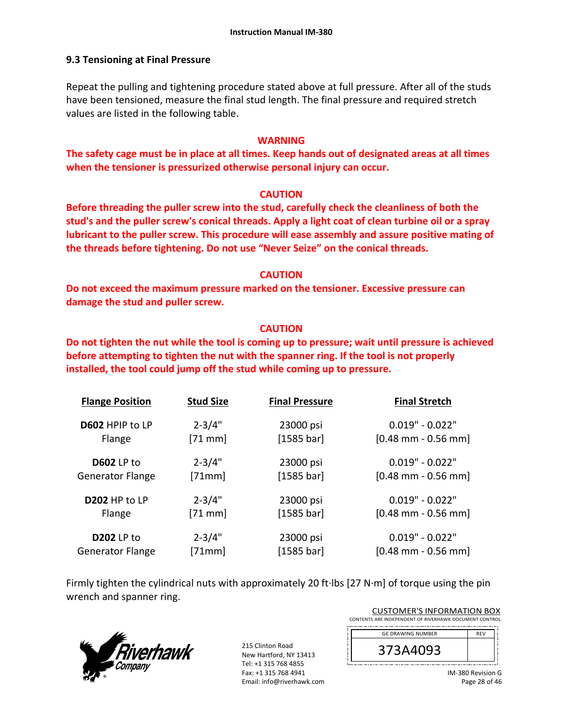### **9.3 Tensioning at Final Pressure**

Repeat the pulling and tightening procedure stated above at full pressure. After all of the studs have been tensioned, measure the final stud length. The final pressure and required stretch values are listed in the following table.

### **WARNING**

**The safety cage must be in place at all times. Keep hands out of designated areas at all times when the tensioner is pressurized otherwise personal injury can occur.** 

### **CAUTION**

**Before threading the puller screw into the stud, carefully check the cleanliness of both the stud's and the puller screw's conical threads. Apply a light coat of clean turbine oil or a spray lubricant to the puller screw. This procedure will ease assembly and assure positive mating of the threads before tightening. Do not use "Never Seize" on the conical threads.** 

### **CAUTION**

**Do not exceed the maximum pressure marked on the tensioner. Excessive pressure can damage the stud and puller screw.** 

### **CAUTION**

**Do not tighten the nut while the tool is coming up to pressure; wait until pressure is achieved before attempting to tighten the nut with the spanner ring. If the tool is not properly installed, the tool could jump off the stud while coming up to pressure.**

| <b>Flange Position</b>  | <b>Stud Size</b> | <b>Final Pressure</b> | <b>Final Stretch</b>                  |
|-------------------------|------------------|-----------------------|---------------------------------------|
| D602 HPIP to LP         | $2 - 3/4"$       | 23000 psi             | $0.019" - 0.022"$                     |
| Flange                  | $[71$ mm]        | [1585 bar]            | $[0.48$ mm - 0.56 mm                  |
| <b>D602</b> LP to       | $2 - 3/4"$       | 23000 psi             | $0.019" - 0.022"$                     |
| <b>Generator Flange</b> | [71mm]           | [1585 bar]            | $[0.48$ mm - 0.56 mm]                 |
| D202 HP to LP           | $2 - 3/4"$       | 23000 psi             | $0.019" - 0.022"$                     |
| Flange                  | $[71$ mm]        | [1585 bar]            | $[0.48$ mm - 0.56 mm                  |
| <b>D202 LP to</b>       | $2 - 3/4"$       | 23000 psi             | $0.019" - 0.022"$                     |
| <b>Generator Flange</b> | [71mm]           | [1585 bar]            | $[0.48 \text{ mm} - 0.56 \text{ mm}]$ |

Firmly tighten the cylindrical nuts with approximately 20 ft∙lbs [27 N∙m] of torque using the pin wrench and spanner ring.



| <b>CUSTOMER'S INFORMATION BOX</b>                      |            |  |
|--------------------------------------------------------|------------|--|
| CONTENTS ARE INDEPENDENT OF RIVERHAWK DOCUMENT CONTROL |            |  |
|                                                        |            |  |
| <b>GE DRAWING NUMBER</b>                               | <b>RFV</b> |  |
|                                                        |            |  |

| <b>GE DRAWING NUMBER</b> | кFм |  |
|--------------------------|-----|--|
| 3A4093 <sup>'</sup><br>Э |     |  |
|                          |     |  |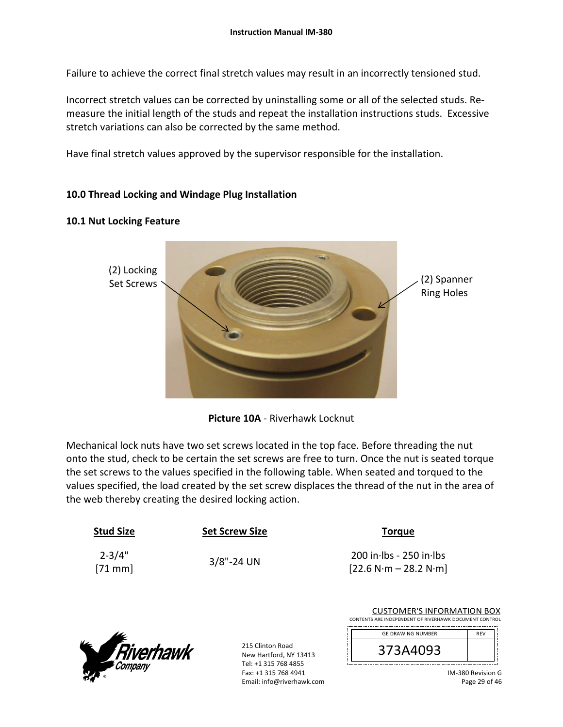Failure to achieve the correct final stretch values may result in an incorrectly tensioned stud.

Incorrect stretch values can be corrected by uninstalling some or all of the selected studs. Re‐ measure the initial length of the studs and repeat the installation instructions studs. Excessive stretch variations can also be corrected by the same method.

Have final stretch values approved by the supervisor responsible for the installation.

### **10.0 Thread Locking and Windage Plug Installation**

### **10.1 Nut Locking Feature**



**Picture 10A** ‐ Riverhawk Locknut

Mechanical lock nuts have two set screws located in the top face. Before threading the nut onto the stud, check to be certain the set screws are free to turn. Once the nut is seated torque the set screws to the values specified in the following table. When seated and torqued to the values specified, the load created by the set screw displaces the thread of the nut in the area of the web thereby creating the desired locking action.

| <b>Stud Size</b>        | <b>Set Screw Size</b> | <b>Torque</b>                                        |
|-------------------------|-----------------------|------------------------------------------------------|
| $2 - 3/4"$<br>$[71$ mm] | $3/8$ "-24 UN         | $200$ in Ibs - 250 in Ibs<br>$[22.6 N·m - 28.2 N·m]$ |
|                         |                       | <b>CUSTOMER'S INFORMAT</b>                           |



215 Clinton Road New Hartford, NY 13413 Tel: +1 315 768 4855 Fax: +1 315 768 4941 Email: info@riverhawk.com

| CONTENTS ARE INDEPENDENT OF RIVERHAWK DOCUMENT CONTROL |            |
|--------------------------------------------------------|------------|
| <b>GE DRAWING NUMBER</b>                               | <b>REV</b> |
| 373A4093                                               |            |

ON BOX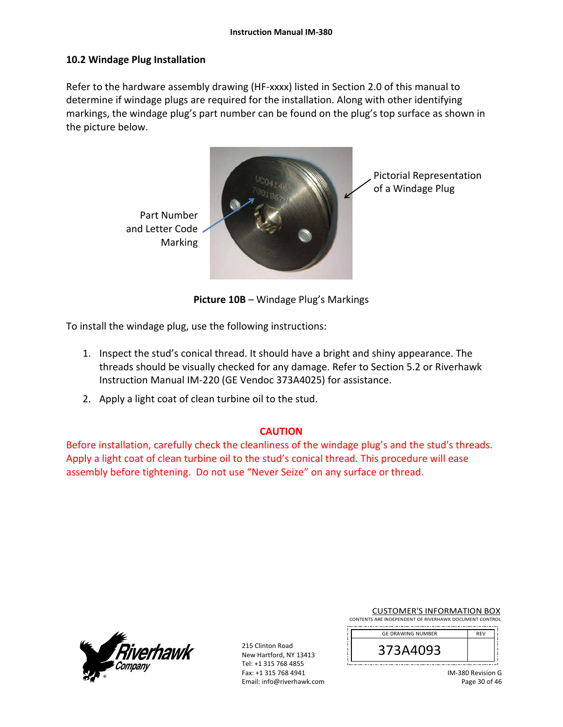### **10.2 Windage Plug Installation**

Refer to the hardware assembly drawing (HF-xxxx) listed in Section 2.0 of this manual to determine if windage plugs are required for the installation. Along with other identifying markings, the windage plug's part number can be found on the plug's top surface as shown in the picture below.



**Picture 10B** – Windage Plug's Markings

To install the windage plug, use the following instructions:

- 1. Inspect the stud's conical thread. It should have a bright and shiny appearance. The threads should be visually checked for any damage. Refer to Section 5.2 or Riverhawk Instruction Manual IM‐220 (GE Vendoc 373A4025) for assistance.
- 2. Apply a light coat of clean turbine oil to the stud.

### **CAUTION**

Before installation, carefully check the cleanliness of the windage plug's and the stud's threads. Apply a light coat of clean turbine oil to the stud's conical thread. This procedure will ease assembly before tightening. Do not use "Never Seize" on any surface or thread.



| <b>CUSTOMER'S INFORMATION BOX</b>                      |  |  |
|--------------------------------------------------------|--|--|
| CONTENTS ARE INDEPENDENT OF RIVERHAWK DOCUMENT CONTROL |  |  |

| <b>GE DRAWING NUMBER</b> | <b>RFV</b> |  |
|--------------------------|------------|--|
| 373A4093                 |            |  |
|                          |            |  |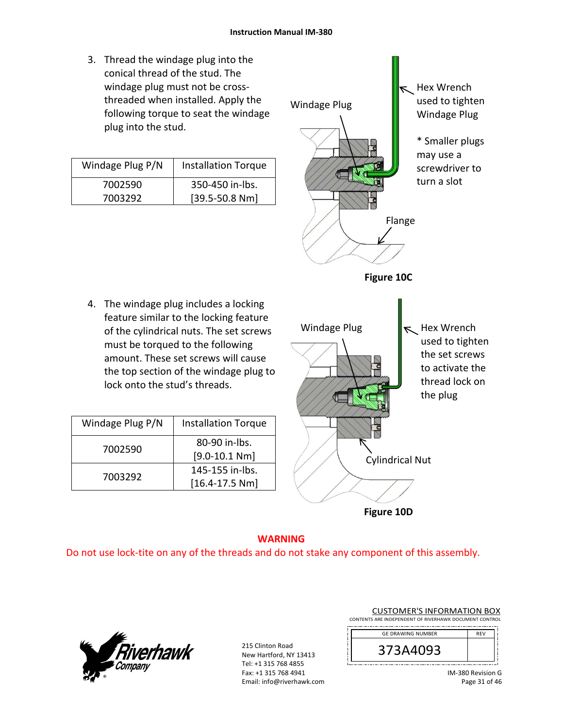3. Thread the windage plug into the conical thread of the stud. The windage plug must not be cross‐ threaded when installed. Apply the following torque to seat the windage plug into the stud.

| Windage Plug P/N | <b>Installation Torque</b> |
|------------------|----------------------------|
| 7002590          | 350-450 in-lbs.            |
| 7003292          | $[39.5 - 50.8 Nm]$         |



**Figure 10D**

# 4. The windage plug includes a locking feature similar to the locking feature of the cylindrical nuts. The set screws must be torqued to the following amount. These set screws will cause the top section of the windage plug to lock onto the stud's threads.

| Windage Plug P/N | <b>Installation Torque</b> |
|------------------|----------------------------|
|                  | 80-90 in-lbs.              |
| 7002590          | $[9.0 - 10.1 Nm]$          |
| 7003292          | 145-155 in-lbs.            |
|                  | $[16.4 - 17.5 Nm]$         |

# **WARNING**

Do not use lock‐tite on any of the threads and do not stake any component of this assembly.

![](_page_30_Picture_9.jpeg)

|                                                        | <b>CUSTOMER'S INFORMATION BOX</b> |  |  |  |  |
|--------------------------------------------------------|-----------------------------------|--|--|--|--|
| CONTENTS ARE INDEPENDENT OF RIVERHAWK DOCUMENT CONTROL |                                   |  |  |  |  |

| <b>GE DRAWING NUMBER</b> | <b>REV</b> |  |
|--------------------------|------------|--|
|                          |            |  |
| 373A4093                 |            |  |
|                          |            |  |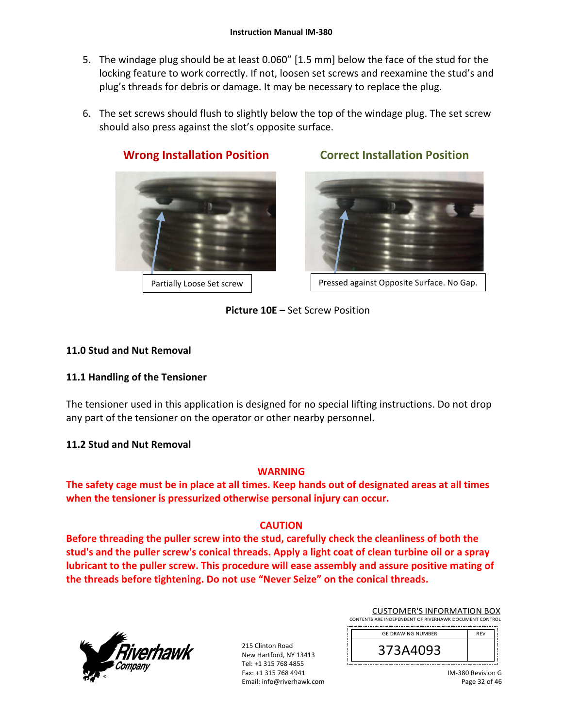- 5. The windage plug should be at least 0.060" [1.5 mm] below the face of the stud for the locking feature to work correctly. If not, loosen set screws and reexamine the stud's and plug's threads for debris or damage. It may be necessary to replace the plug.
- 6. The set screws should flush to slightly below the top of the windage plug. The set screw should also press against the slot's opposite surface.

![](_page_31_Picture_3.jpeg)

# **Wrong Installation Position Correct Installation Position**

Partially Loose Set screw | Ressed against Opposite Surface. No Gap.

**Picture 10E –** Set Screw Position

## **11.0 Stud and Nut Removal**

### **11.1 Handling of the Tensioner**

The tensioner used in this application is designed for no special lifting instructions. Do not drop any part of the tensioner on the operator or other nearby personnel.

### **11.2 Stud and Nut Removal**

### **WARNING**

**The safety cage must be in place at all times. Keep hands out of designated areas at all times when the tensioner is pressurized otherwise personal injury can occur.** 

### **CAUTION**

**Before threading the puller screw into the stud, carefully check the cleanliness of both the stud's and the puller screw's conical threads. Apply a light coat of clean turbine oil or a spray lubricant to the puller screw. This procedure will ease assembly and assure positive mating of the threads before tightening. Do not use "Never Seize" on the conical threads.** 

![](_page_31_Picture_17.jpeg)

| <b>CUSTOMER'S INFORMATION BOX</b>                      |
|--------------------------------------------------------|
| CONTENTS ARE INDEPENDENT OF RIVERHAWK DOCUMENT CONTROL |
|                                                        |

![](_page_31_Picture_20.jpeg)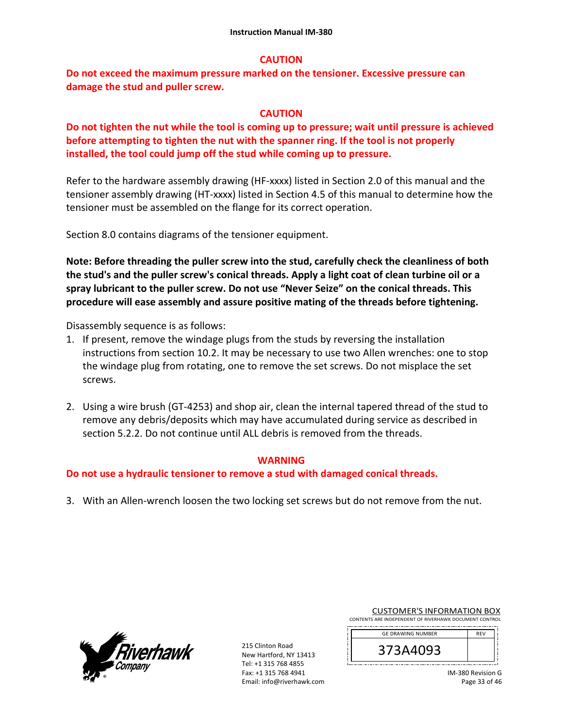### **CAUTION**

**Do not exceed the maximum pressure marked on the tensioner. Excessive pressure can damage the stud and puller screw.** 

### **CAUTION**

**Do not tighten the nut while the tool is coming up to pressure; wait until pressure is achieved before attempting to tighten the nut with the spanner ring. If the tool is not properly installed, the tool could jump off the stud while coming up to pressure.** 

Refer to the hardware assembly drawing (HF-xxxx) listed in Section 2.0 of this manual and the tensioner assembly drawing (HT‐xxxx) listed in Section 4.5 of this manual to determine how the tensioner must be assembled on the flange for its correct operation.

Section 8.0 contains diagrams of the tensioner equipment.

**Note: Before threading the puller screw into the stud, carefully check the cleanliness of both the stud's and the puller screw's conical threads. Apply a light coat of clean turbine oil or a spray lubricant to the puller screw. Do not use "Never Seize" on the conical threads. This procedure will ease assembly and assure positive mating of the threads before tightening.** 

Disassembly sequence is as follows:

- 1. If present, remove the windage plugs from the studs by reversing the installation instructions from section 10.2. It may be necessary to use two Allen wrenches: one to stop the windage plug from rotating, one to remove the set screws. Do not misplace the set screws.
- 2. Using a wire brush (GT‐4253) and shop air, clean the internal tapered thread of the stud to remove any debris/deposits which may have accumulated during service as described in section 5.2.2. Do not continue until ALL debris is removed from the threads.

### **WARNING**

**Do not use a hydraulic tensioner to remove a stud with damaged conical threads.** 

3. With an Allen‐wrench loosen the two locking set screws but do not remove from the nut.

![](_page_32_Picture_14.jpeg)

| <b>CUSTOMER'S INFORMATION BOX</b>                      |
|--------------------------------------------------------|
| CONTENTS ARE INDEPENDENT OF RIVERHAWK DOCUMENT CONTROL |
|                                                        |

| <b>GE DRAWING NUMBER</b> | <b>RFV</b> |
|--------------------------|------------|
| 373A4093                 |            |
|                          |            |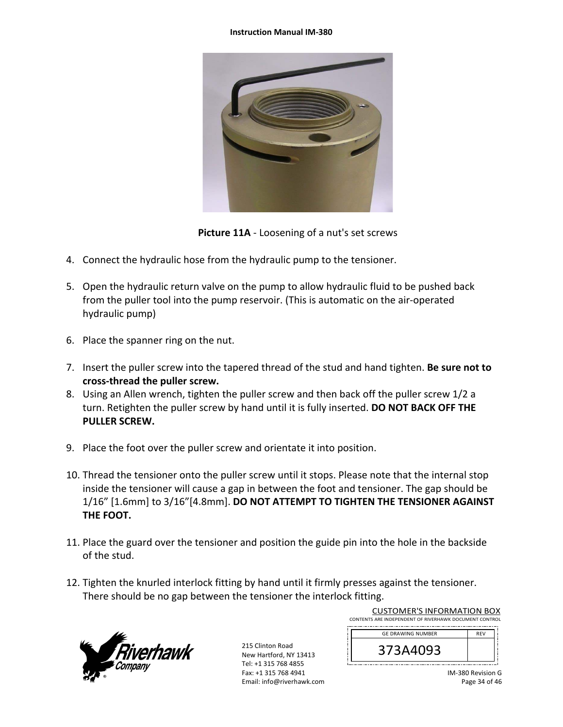#### **Instruction Manual IM‐380**

![](_page_33_Picture_1.jpeg)

**Picture 11A** ‐ Loosening of a nut's set screws

- 4. Connect the hydraulic hose from the hydraulic pump to the tensioner.
- 5. Open the hydraulic return valve on the pump to allow hydraulic fluid to be pushed back from the puller tool into the pump reservoir. (This is automatic on the air‐operated hydraulic pump)
- 6. Place the spanner ring on the nut.
- 7. Insert the puller screw into the tapered thread of the stud and hand tighten. **Be sure not to cross‐thread the puller screw.**
- 8. Using an Allen wrench, tighten the puller screw and then back off the puller screw 1/2 a turn. Retighten the puller screw by hand until it is fully inserted. **DO NOT BACK OFF THE PULLER SCREW.**
- 9. Place the foot over the puller screw and orientate it into position.
- 10. Thread the tensioner onto the puller screw until it stops. Please note that the internal stop inside the tensioner will cause a gap in between the foot and tensioner. The gap should be 1/16" [1.6mm] to 3/16"[4.8mm]. **DO NOT ATTEMPT TO TIGHTEN THE TENSIONER AGAINST THE FOOT.**
- 11. Place the guard over the tensioner and position the guide pin into the hole in the backside of the stud.
- 12. Tighten the knurled interlock fitting by hand until it firmly presses against the tensioner. There should be no gap between the tensioner the interlock fitting.

![](_page_33_Picture_12.jpeg)

215 Clinton Road New Hartford, NY 13413 Tel: +1 315 768 4855 Fax: +1 315 768 4941 Email: info@riverhawk.com

| CONTENTS ARE INDEPENDENT OF RIVERHAWK DOCUMENT CONTROL |            |
|--------------------------------------------------------|------------|
| <b>GE DRAWING NUMBER</b>                               | <b>REV</b> |
| 373A4093                                               |            |

CUSTOMER'S INFORMATION BOX

IM‐380 Revision G Page 34 of 46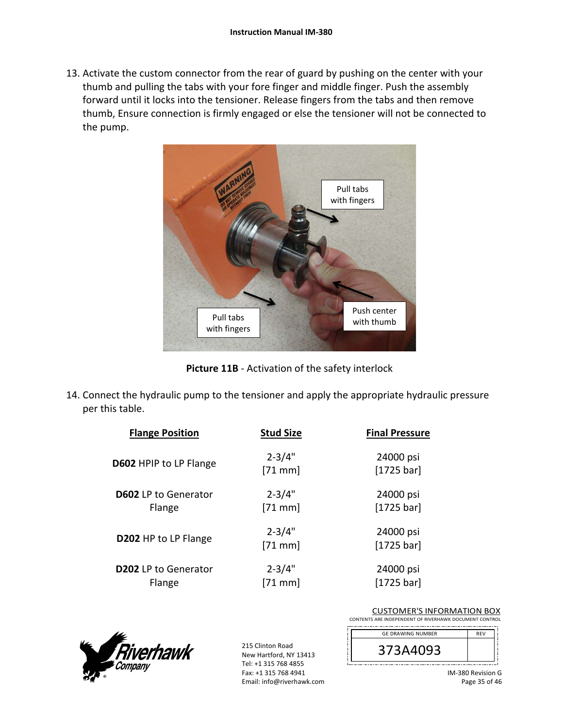13. Activate the custom connector from the rear of guard by pushing on the center with your thumb and pulling the tabs with your fore finger and middle finger. Push the assembly forward until it locks into the tensioner. Release fingers from the tabs and then remove thumb, Ensure connection is firmly engaged or else the tensioner will not be connected to the pump.

![](_page_34_Picture_2.jpeg)

**Picture 11B** ‐ Activation of the safety interlock

14. Connect the hydraulic pump to the tensioner and apply the appropriate hydraulic pressure per this table.

| <b>Flange Position</b>                | <b>Stud Size</b>        | <b>Final Pressure</b>   |
|---------------------------------------|-------------------------|-------------------------|
| D602 HPIP to LP Flange                | $2 - 3/4"$<br>$[71$ mm] | 24000 psi<br>[1725 bar] |
| <b>D602</b> LP to Generator<br>Flange | $2 - 3/4"$<br>$[71$ mm  | 24000 psi<br>[1725 bar] |
| D202 HP to LP Flange                  | $2 - 3/4"$<br>$[71$ mm  | 24000 psi<br>[1725 bar] |
| <b>D202</b> LP to Generator<br>Flange | $2 - 3/4"$<br>$[71$ mm  | 24000 psi<br>[1725 bar] |

![](_page_34_Picture_6.jpeg)

| <b>CUSTOMER'S INFORMATION BOX</b>                      |
|--------------------------------------------------------|
| CONTENTS ARE INDEPENDENT OF RIVERHAWK DOCUMENT CONTROL |
|                                                        |

| <b>GE DRAWING NUMBER</b> | <b>RFV</b> |
|--------------------------|------------|
| 373A4093                 |            |
|                          |            |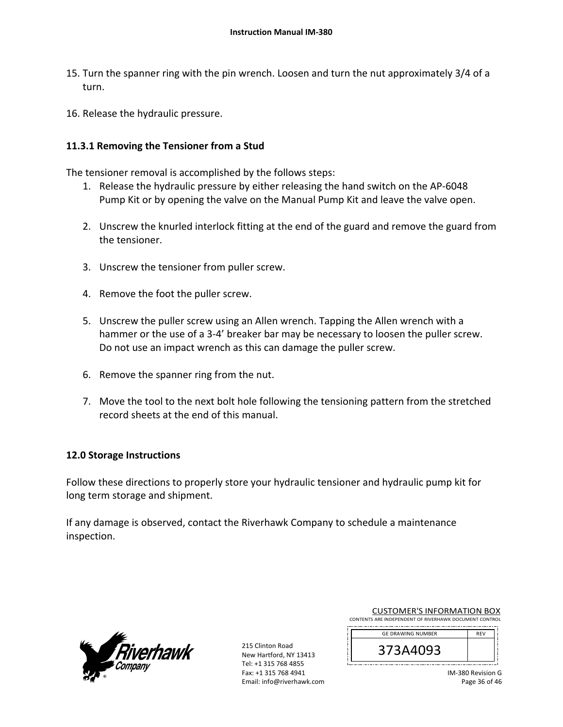- 15. Turn the spanner ring with the pin wrench. Loosen and turn the nut approximately 3/4 of a turn.
- 16. Release the hydraulic pressure.

### **11.3.1 Removing the Tensioner from a Stud**

The tensioner removal is accomplished by the follows steps:

- 1. Release the hydraulic pressure by either releasing the hand switch on the AP‐6048 Pump Kit or by opening the valve on the Manual Pump Kit and leave the valve open.
- 2. Unscrew the knurled interlock fitting at the end of the guard and remove the guard from the tensioner.
- 3. Unscrew the tensioner from puller screw.
- 4. Remove the foot the puller screw.
- 5. Unscrew the puller screw using an Allen wrench. Tapping the Allen wrench with a hammer or the use of a 3-4' breaker bar may be necessary to loosen the puller screw. Do not use an impact wrench as this can damage the puller screw.
- 6. Remove the spanner ring from the nut.
- 7. Move the tool to the next bolt hole following the tensioning pattern from the stretched record sheets at the end of this manual.

### **12.0 Storage Instructions**

Follow these directions to properly store your hydraulic tensioner and hydraulic pump kit for long term storage and shipment.

If any damage is observed, contact the Riverhawk Company to schedule a maintenance inspection.

![](_page_35_Picture_15.jpeg)

| <b>CUSTOMER'S INFORMATION BOX</b>                      |
|--------------------------------------------------------|
| CONTENTS ARE INDEPENDENT OF RIVERHAWK DOCUMENT CONTROL |
|                                                        |

| <b>GE DRAWING NUMBER</b> | <b>RFV</b> |
|--------------------------|------------|
| 373A4093<br>э            |            |
|                          |            |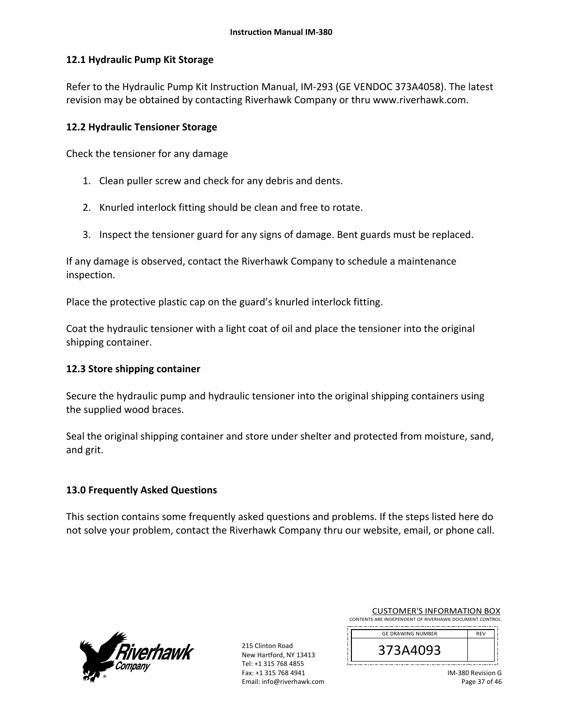### **12.1 Hydraulic Pump Kit Storage**

Refer to the Hydraulic Pump Kit Instruction Manual, IM‐293 (GE VENDOC 373A4058). The latest revision may be obtained by contacting Riverhawk Company or thru www.riverhawk.com.

### **12.2 Hydraulic Tensioner Storage**

Check the tensioner for any damage

- 1. Clean puller screw and check for any debris and dents.
- 2. Knurled interlock fitting should be clean and free to rotate.
- 3. Inspect the tensioner guard for any signs of damage. Bent guards must be replaced.

If any damage is observed, contact the Riverhawk Company to schedule a maintenance inspection.

Place the protective plastic cap on the guard's knurled interlock fitting.

Coat the hydraulic tensioner with a light coat of oil and place the tensioner into the original shipping container.

### **12.3 Store shipping container**

Secure the hydraulic pump and hydraulic tensioner into the original shipping containers using the supplied wood braces.

Seal the original shipping container and store under shelter and protected from moisture, sand, and grit.

### **13.0 Frequently Asked Questions**

This section contains some frequently asked questions and problems. If the steps listed here do not solve your problem, contact the Riverhawk Company thru our website, email, or phone call.

![](_page_36_Picture_16.jpeg)

| <b>CUSTOMER'S INFORMATION BOX</b>                      |
|--------------------------------------------------------|
| CONTENTS ARE INDEPENDENT OF RIVERHAWK DOCUMENT CONTROL |
|                                                        |

| <b>GE DRAWING NUMBER</b> | <b>RFV</b> |
|--------------------------|------------|
| 093<br>584'<br>Э         |            |
|                          |            |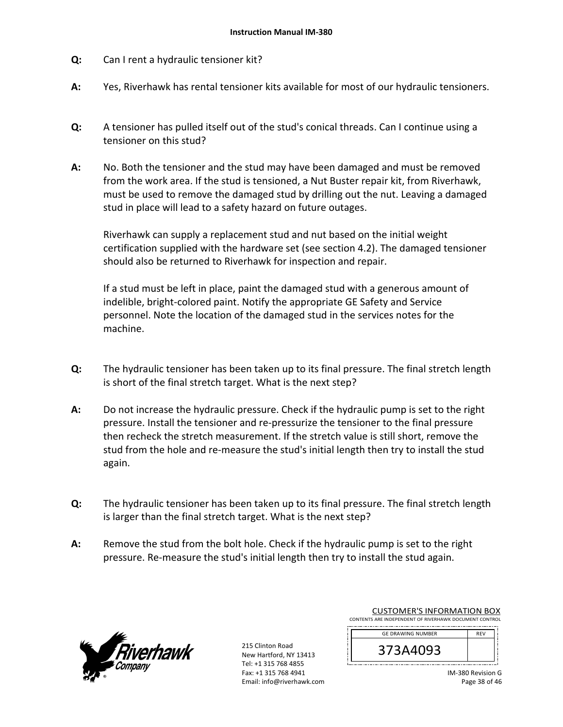- **Q:**  Can I rent a hydraulic tensioner kit?
- **A:**  Yes, Riverhawk has rental tensioner kits available for most of our hydraulic tensioners.
- **Q:**  A tensioner has pulled itself out of the stud's conical threads. Can I continue using a tensioner on this stud?
- **A:**  No. Both the tensioner and the stud may have been damaged and must be removed from the work area. If the stud is tensioned, a Nut Buster repair kit, from Riverhawk, must be used to remove the damaged stud by drilling out the nut. Leaving a damaged stud in place will lead to a safety hazard on future outages.

Riverhawk can supply a replacement stud and nut based on the initial weight certification supplied with the hardware set (see section 4.2). The damaged tensioner should also be returned to Riverhawk for inspection and repair.

If a stud must be left in place, paint the damaged stud with a generous amount of indelible, bright‐colored paint. Notify the appropriate GE Safety and Service personnel. Note the location of the damaged stud in the services notes for the machine.

- **Q:**  The hydraulic tensioner has been taken up to its final pressure. The final stretch length is short of the final stretch target. What is the next step?
- **A:**  Do not increase the hydraulic pressure. Check if the hydraulic pump is set to the right pressure. Install the tensioner and re‐pressurize the tensioner to the final pressure then recheck the stretch measurement. If the stretch value is still short, remove the stud from the hole and re‐measure the stud's initial length then try to install the stud again.
- **Q:**  The hydraulic tensioner has been taken up to its final pressure. The final stretch length is larger than the final stretch target. What is the next step?
- **A:**  Remove the stud from the bolt hole. Check if the hydraulic pump is set to the right pressure. Re‐measure the stud's initial length then try to install the stud again.

![](_page_37_Picture_11.jpeg)

215 Clinton Road New Hartford, NY 13413 Tel: +1 315 768 4855 Fax: +1 315 768 4941 Email: info@riverhawk.com

| CONTENTS ARE INDEPENDENT OF RIVERHAWK DOCUMENT CONTROL |                          |            |  |
|--------------------------------------------------------|--------------------------|------------|--|
|                                                        | <b>GE DRAWING NUMBER</b> | <b>RFV</b> |  |
|                                                        |                          |            |  |

CUSTOMER'S INFORMATION BOX

IM‐380 Revision G Page 38 of 46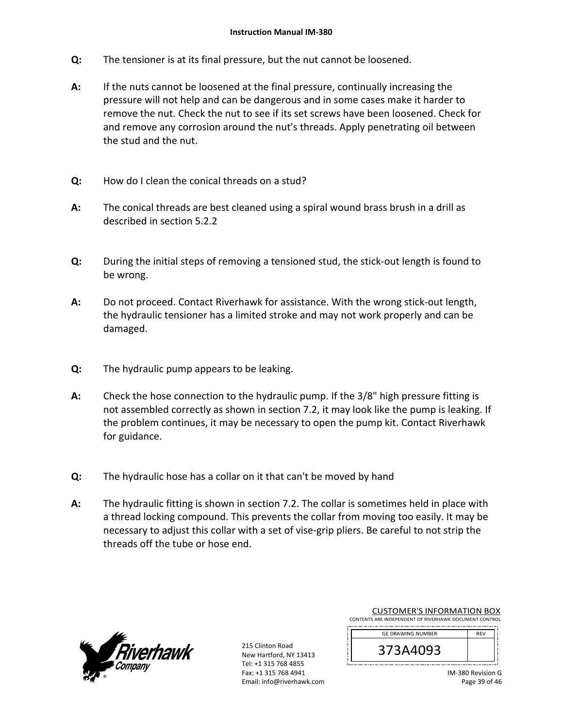- **Q:**  The tensioner is at its final pressure, but the nut cannot be loosened.
- **A:**  If the nuts cannot be loosened at the final pressure, continually increasing the pressure will not help and can be dangerous and in some cases make it harder to remove the nut. Check the nut to see if its set screws have been loosened. Check for and remove any corrosion around the nut's threads. Apply penetrating oil between the stud and the nut.
- **Q:**  How do I clean the conical threads on a stud?
- **A:**  The conical threads are best cleaned using a spiral wound brass brush in a drill as described in section 5.2.2
- **Q:**  During the initial steps of removing a tensioned stud, the stick‐out length is found to be wrong.
- **A:**  Do not proceed. Contact Riverhawk for assistance. With the wrong stick‐out length, the hydraulic tensioner has a limited stroke and may not work properly and can be damaged.
- **Q:**  The hydraulic pump appears to be leaking.
- **A:**  Check the hose connection to the hydraulic pump. If the 3/8" high pressure fitting is not assembled correctly as shown in section 7.2, it may look like the pump is leaking. If the problem continues, it may be necessary to open the pump kit. Contact Riverhawk for guidance.
- **Q:**  The hydraulic hose has a collar on it that can't be moved by hand
- **A:**  The hydraulic fitting is shown in section 7.2. The collar is sometimes held in place with a thread locking compound. This prevents the collar from moving too easily. It may be necessary to adjust this collar with a set of vise‐grip pliers. Be careful to not strip the threads off the tube or hose end.

![](_page_38_Picture_11.jpeg)

215 Clinton Road New Hartford, NY 13413 Tel: +1 315 768 4855 Fax: +1 315 768 4941 Email: info@riverhawk.com

| CONTENTS ARE INDEPENDENT OF RIVERHAWK DOCUMENT CONTROL |            |  |
|--------------------------------------------------------|------------|--|
| <b>GE DRAWING NUMBER</b>                               | <b>RFV</b> |  |
| 373A4093                                               |            |  |

CUSTOMER'S INFORMATION BOX

| IM-380 Revision G |
|-------------------|
| Page 39 of 46     |

\_l i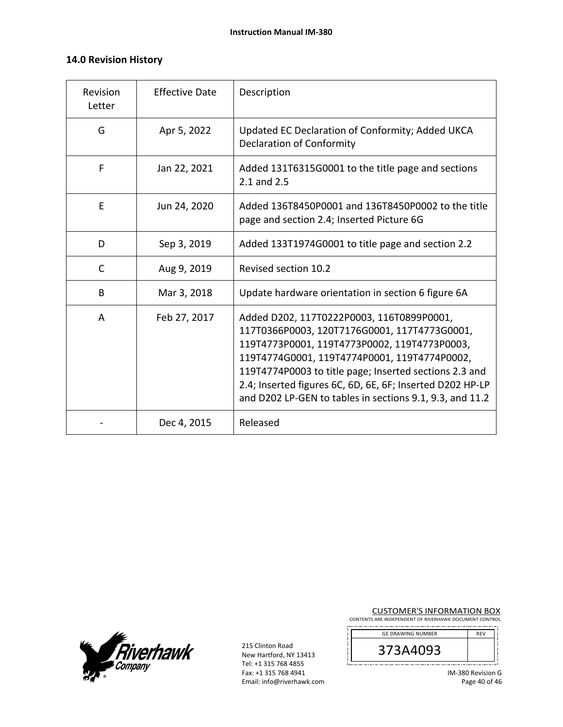### **14.0 Revision History**

| Revision<br>Letter | <b>Effective Date</b> | Description                                                                                                                                                                                                                                                                                                                                                                  |
|--------------------|-----------------------|------------------------------------------------------------------------------------------------------------------------------------------------------------------------------------------------------------------------------------------------------------------------------------------------------------------------------------------------------------------------------|
| G                  | Apr 5, 2022           | Updated EC Declaration of Conformity; Added UKCA<br><b>Declaration of Conformity</b>                                                                                                                                                                                                                                                                                         |
| F                  | Jan 22, 2021          | Added 131T6315G0001 to the title page and sections<br>2.1 and 2.5                                                                                                                                                                                                                                                                                                            |
| E                  | Jun 24, 2020          | Added 136T8450P0001 and 136T8450P0002 to the title<br>page and section 2.4; Inserted Picture 6G                                                                                                                                                                                                                                                                              |
| D                  | Sep 3, 2019           | Added 133T1974G0001 to title page and section 2.2                                                                                                                                                                                                                                                                                                                            |
| C                  | Aug 9, 2019           | Revised section 10.2                                                                                                                                                                                                                                                                                                                                                         |
| B                  | Mar 3, 2018           | Update hardware orientation in section 6 figure 6A                                                                                                                                                                                                                                                                                                                           |
| A                  | Feb 27, 2017          | Added D202, 117T0222P0003, 116T0899P0001,<br>117T0366P0003, 120T7176G0001, 117T4773G0001,<br>119T4773P0001, 119T4773P0002, 119T4773P0003,<br>119T4774G0001, 119T4774P0001, 119T4774P0002,<br>119T4774P0003 to title page; Inserted sections 2.3 and<br>2.4; Inserted figures 6C, 6D, 6E, 6F; Inserted D202 HP-LP<br>and D202 LP-GEN to tables in sections 9.1, 9.3, and 11.2 |
|                    | Dec 4, 2015           | Released                                                                                                                                                                                                                                                                                                                                                                     |

![](_page_39_Picture_3.jpeg)

215 Clinton Road New Hartford, NY 13413 Tel: +1 315 768 4855 Fax: +1 315 768 4941 Email: info@riverhawk.com

ļ L

# **CUSTOMER'S INFORMATION BOX**<br>CONTENTS ARE INDEPENDENT OF RIVERHAWK DOCUMENT CONTROL

| <b>GE DRAWING NUMBER</b> | <b>RFV</b> |  |
|--------------------------|------------|--|
| 373A4093                 |            |  |
|                          |            |  |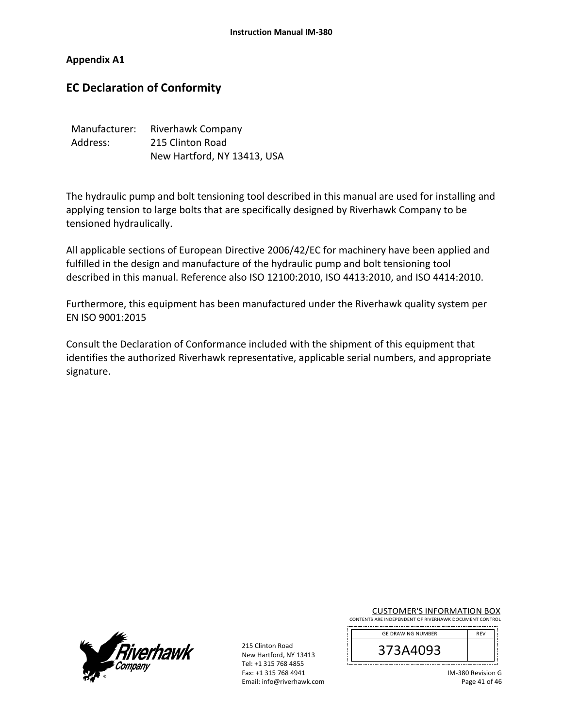### **Appendix A1**

# **EC Declaration of Conformity**

| Manufacturer: | Riverhawk Company           |
|---------------|-----------------------------|
| Address:      | 215 Clinton Road            |
|               | New Hartford, NY 13413, USA |

The hydraulic pump and bolt tensioning tool described in this manual are used for installing and applying tension to large bolts that are specifically designed by Riverhawk Company to be tensioned hydraulically.

All applicable sections of European Directive 2006/42/EC for machinery have been applied and fulfilled in the design and manufacture of the hydraulic pump and bolt tensioning tool described in this manual. Reference also ISO 12100:2010, ISO 4413:2010, and ISO 4414:2010.

Furthermore, this equipment has been manufactured under the Riverhawk quality system per EN ISO 9001:2015

Consult the Declaration of Conformance included with the shipment of this equipment that identifies the authorized Riverhawk representative, applicable serial numbers, and appropriate signature.

![](_page_40_Picture_8.jpeg)

| <b>CUSTOMER'S INFORMATION BOX</b>                      |  |
|--------------------------------------------------------|--|
| CONTENTS ARE INDEPENDENT OF RIVERHAWK DOCUMENT CONTROL |  |

| <b>GE DRAWING NUMBER</b> | <b>RFV</b> |  |
|--------------------------|------------|--|
| 13A4093<br>⊃             |            |  |
|                          |            |  |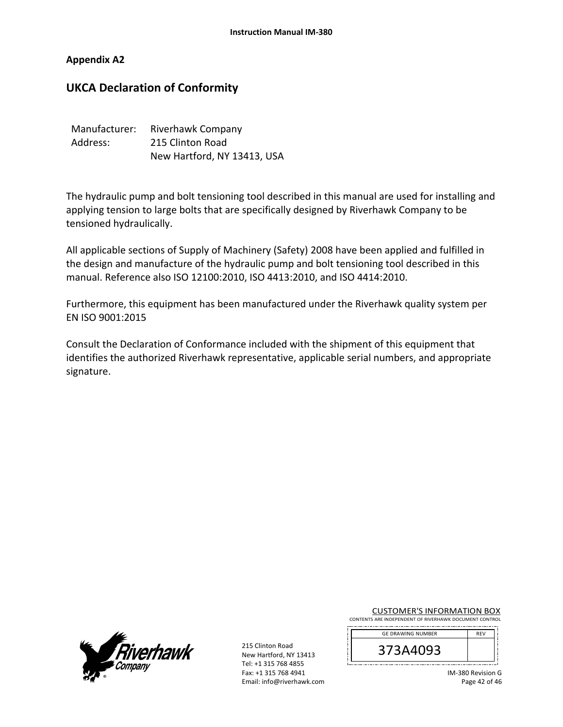### **Appendix A2**

## **UKCA Declaration of Conformity**

| Manufacturer: | Riverhawk Company           |
|---------------|-----------------------------|
| Address:      | 215 Clinton Road            |
|               | New Hartford, NY 13413, USA |

The hydraulic pump and bolt tensioning tool described in this manual are used for installing and applying tension to large bolts that are specifically designed by Riverhawk Company to be tensioned hydraulically.

All applicable sections of Supply of Machinery (Safety) 2008 have been applied and fulfilled in the design and manufacture of the hydraulic pump and bolt tensioning tool described in this manual. Reference also ISO 12100:2010, ISO 4413:2010, and ISO 4414:2010.

Furthermore, this equipment has been manufactured under the Riverhawk quality system per EN ISO 9001:2015

Consult the Declaration of Conformance included with the shipment of this equipment that identifies the authorized Riverhawk representative, applicable serial numbers, and appropriate signature.

![](_page_41_Picture_8.jpeg)

| <b>CUSTOMER'S INFORMATION BOX</b>                      |  |
|--------------------------------------------------------|--|
| CONTENTS ARE INDEPENDENT OF RIVERHAWK DOCUMENT CONTROL |  |

| <b>GE DRAWING NUMBER</b> | <b>RFV</b> |  |
|--------------------------|------------|--|
| 13A4093<br>⊃             |            |  |
|                          |            |  |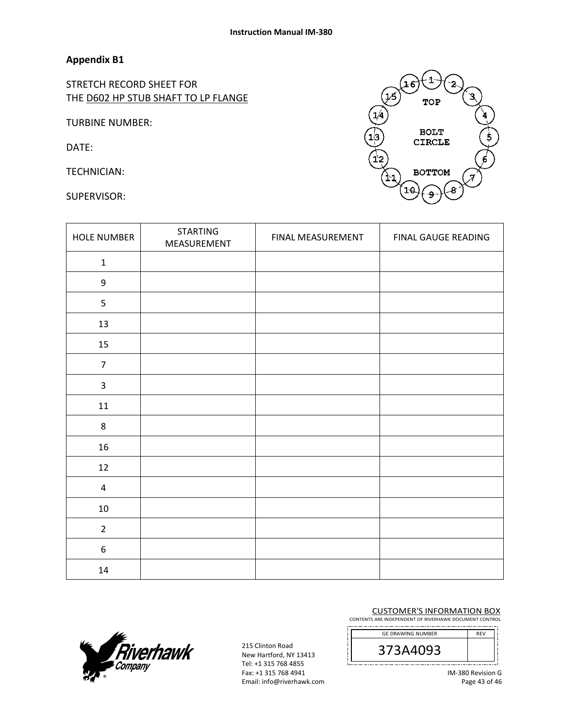STRETCH RECORD SHEET FOR THE D602 HP STUB SHAFT TO LP FLANGE

TURBINE NUMBER:

DATE:

TECHNICIAN:

SUPERVISOR:

![](_page_42_Picture_7.jpeg)

| <b>HOLE NUMBER</b> | <b>STARTING</b><br>MEASUREMENT | FINAL MEASUREMENT | FINAL GAUGE READING |
|--------------------|--------------------------------|-------------------|---------------------|
| $\mathbf{1}$       |                                |                   |                     |
| $\boldsymbol{9}$   |                                |                   |                     |
| 5                  |                                |                   |                     |
| 13                 |                                |                   |                     |
| 15                 |                                |                   |                     |
| $\overline{7}$     |                                |                   |                     |
| $\mathsf{3}$       |                                |                   |                     |
| $11\,$             |                                |                   |                     |
| 8                  |                                |                   |                     |
| 16                 |                                |                   |                     |
| $12\,$             |                                |                   |                     |
| $\overline{4}$     |                                |                   |                     |
| $10\,$             |                                |                   |                     |
| $\overline{2}$     |                                |                   |                     |
| 6                  |                                |                   |                     |
| $14\,$             |                                |                   |                     |

#### CUSTOMER'S INFORMATION BOX CONTENTS ARE INDEPENDENT OF RIVERHAWK DOCUMENT CONTROL

![](_page_42_Picture_10.jpeg)

![](_page_42_Picture_12.jpeg)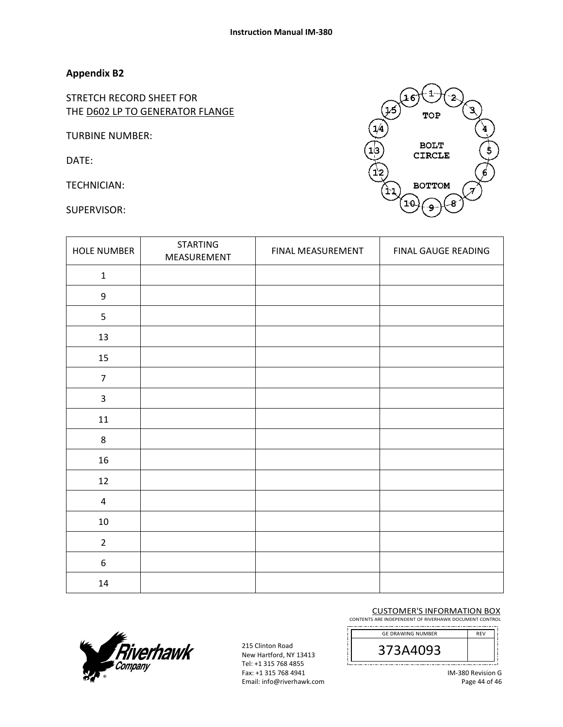STRETCH RECORD SHEET FOR THE D602 LP TO GENERATOR FLANGE

TURBINE NUMBER:

DATE:

TECHNICIAN:

SUPERVISOR:

![](_page_43_Picture_7.jpeg)

| <b>HOLE NUMBER</b>      | <b>STARTING</b><br>MEASUREMENT | FINAL MEASUREMENT | FINAL GAUGE READING |
|-------------------------|--------------------------------|-------------------|---------------------|
| $\mathbf 1$             |                                |                   |                     |
| 9                       |                                |                   |                     |
| 5                       |                                |                   |                     |
| 13                      |                                |                   |                     |
| 15                      |                                |                   |                     |
| $\overline{7}$          |                                |                   |                     |
| $\overline{\mathbf{3}}$ |                                |                   |                     |
| 11                      |                                |                   |                     |
| $\,8\,$                 |                                |                   |                     |
| 16                      |                                |                   |                     |
| 12                      |                                |                   |                     |
| $\overline{\mathbf{4}}$ |                                |                   |                     |
| $10\,$                  |                                |                   |                     |
| $\overline{2}$          |                                |                   |                     |
| $\boldsymbol{6}$        |                                |                   |                     |
| $14\,$                  |                                |                   |                     |

CUSTOMER'S INFORMATION BOX CONTENTS ARE INDEPENDENT OF RIVERHAWK DOCUMENT CONTROL

![](_page_43_Picture_10.jpeg)

![](_page_43_Picture_11.jpeg)

215 Clinton Road New Hartford, NY 13413 Tel: +1 315 768 4855 Fax: +1 315 768 4941 Email: info@riverhawk.com

IM‐380 Revision G Page 44 of 46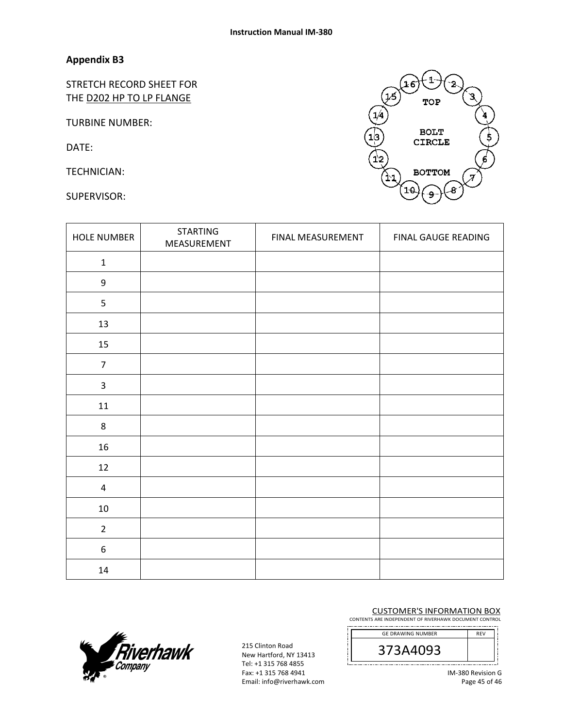STRETCH RECORD SHEET FOR THE D202 HP TO LP FLANGE

TURBINE NUMBER:

DATE:

TECHNICIAN:

SUPERVISOR:

![](_page_44_Picture_7.jpeg)

| <b>HOLE NUMBER</b> | <b>STARTING</b><br>MEASUREMENT | FINAL MEASUREMENT | FINAL GAUGE READING |
|--------------------|--------------------------------|-------------------|---------------------|
| $\mathbf 1$        |                                |                   |                     |
| $\boldsymbol{9}$   |                                |                   |                     |
| 5                  |                                |                   |                     |
| 13                 |                                |                   |                     |
| 15                 |                                |                   |                     |
| $\overline{7}$     |                                |                   |                     |
| $\mathsf{3}$       |                                |                   |                     |
| $11\,$             |                                |                   |                     |
| $\,8\,$            |                                |                   |                     |
| 16                 |                                |                   |                     |
| $12\,$             |                                |                   |                     |
| 4                  |                                |                   |                     |
| $10\,$             |                                |                   |                     |
| $\overline{2}$     |                                |                   |                     |
| $\boldsymbol{6}$   |                                |                   |                     |
| 14                 |                                |                   |                     |

#### CUSTOMER'S INFORMATION BOX CONTENTS ARE INDEPENDENT OF RIVERHAWK DOCUMENT CONTROL

![](_page_44_Picture_10.jpeg)